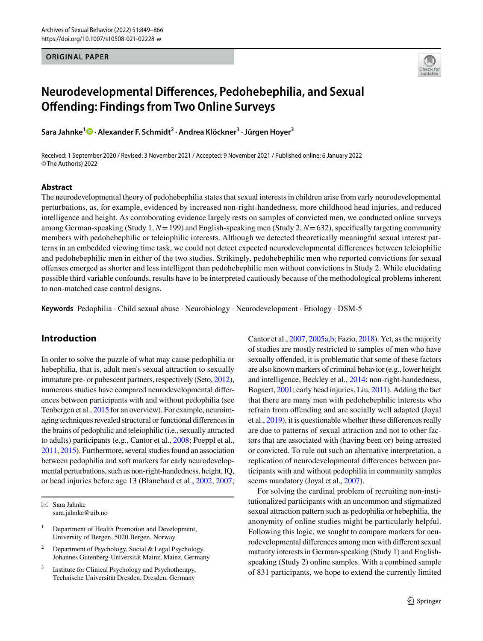### **ORIGINAL PAPER**



# **Neurodevelopmental Diferences, Pedohebephilia, and Sexual Ofending: Findings from Two Online Surveys**

**Sara Jahnke<sup>1</sup>  [·](http://orcid.org/0000-0002-9725-7384) Alexander F. Schmidt2 · Andrea Klöckner3 · Jürgen Hoyer3**

Received: 1 September 2020 / Revised: 3 November 2021 / Accepted: 9 November 2021 / Published online: 6 January 2022 © The Author(s) 2022

#### **Abstract**

The neurodevelopmental theory of pedohebephilia states that sexual interests in children arise from early neurodevelopmental perturbations, as, for example, evidenced by increased non-right-handedness, more childhood head injuries, and reduced intelligence and height. As corroborating evidence largely rests on samples of convicted men, we conducted online surveys among German-speaking (Study 1, *N*=199) and English-speaking men (Study 2, *N*=632), specifcally targeting community members with pedohebephilic or teleiophilic interests. Although we detected theoretically meaningful sexual interest patterns in an embedded viewing time task, we could not detect expected neurodevelopmental diferences between teleiophilic and pedohebephilic men in either of the two studies. Strikingly, pedohebephilic men who reported convictions for sexual ofenses emerged as shorter and less intelligent than pedohebephilic men without convictions in Study 2. While elucidating possible third variable confounds, results have to be interpreted cautiously because of the methodological problems inherent to non-matched case control designs.

**Keywords** Pedophilia · Child sexual abuse · Neurobiology · Neurodevelopment · Etiology · DSM-5

# **Introduction**

In order to solve the puzzle of what may cause pedophilia or hebephilia, that is, adult men's sexual attraction to sexually immature pre- or pubescent partners, respectively (Seto, [2012](#page-16-0)), numerous studies have compared neurodevelopmental diferences between participants with and without pedophilia (see Tenbergen et al., [2015](#page-17-0) for an overview). For example, neuroimaging techniques revealed structural or functional diferences in the brains of pedophilic and teleiophilic (i.e., sexually attracted to adults) participants (e.g., Cantor et al., [2008](#page-15-0); Poeppl et al., [2011](#page-16-1), [2015\)](#page-16-2). Furthermore, several studies found an association between pedophilia and soft markers for early neurodevelopmental perturbations, such as non-right-handedness, height, IQ, or head injuries before age 13 (Blanchard et al., [2002,](#page-15-1) [2007](#page-15-2);

 $\boxtimes$  Sara Jahnke sara.jahnke@uib.no

- <sup>1</sup> Department of Health Promotion and Development, University of Bergen, 5020 Bergen, Norway
- <sup>2</sup> Department of Psychology, Social & Legal Psychology, Johannes Gutenberg-Universität Mainz, Mainz, Germany
- <sup>3</sup> Institute for Clinical Psychology and Psychotherapy, Technische Universität Dresden, Dresden, Germany

Cantor et al., [2007,](#page-15-3) [2005a](#page-15-4)[,b](#page-15-5); Fazio, [2018](#page-15-6)). Yet, as the majority of studies are mostly restricted to samples of men who have sexually offended, it is problematic that some of these factors are also known markers of criminal behavior (e.g., lower height and intelligence, Beckley et al., [2014;](#page-14-0) non-right-handedness, Bogaert, [2001](#page-15-7); early head injuries, Liu, [2011\)](#page-16-3). Adding the fact that there are many men with pedohebephilic interests who refrain from offending and are socially well adapted (Joyal et al., [2019](#page-16-4)), it is questionable whether these diferences really are due to patterns of sexual attraction and not to other factors that are associated with (having been or) being arrested or convicted. To rule out such an alternative interpretation, a replication of neurodevelopmental diferences between participants with and without pedophilia in community samples seems mandatory (Joyal et al., [2007\)](#page-16-5).

For solving the cardinal problem of recruiting non-institutionalized participants with an uncommon and stigmatized sexual attraction pattern such as pedophilia or hebephilia, the anonymity of online studies might be particularly helpful. Following this logic, we sought to compare markers for neurodevelopmental diferences among men with diferent sexual maturity interests in German-speaking (Study 1) and Englishspeaking (Study 2) online samples. With a combined sample of 831 participants, we hope to extend the currently limited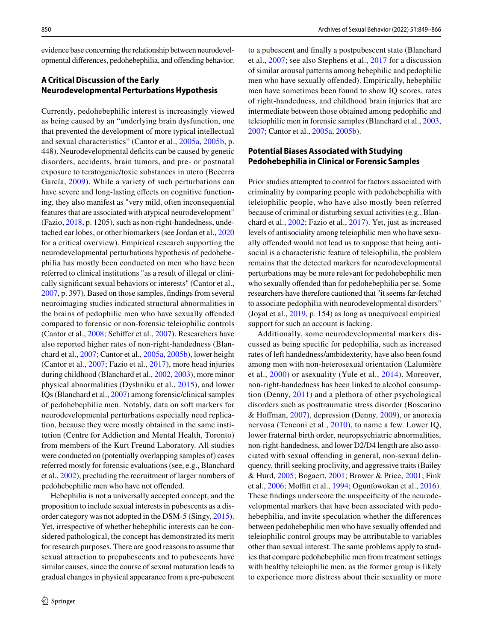evidence base concerning the relationship between neurodevelopmental diferences, pedohebephilia, and ofending behavior.

# **A Critical Discussion of the Early Neurodevelopmental Perturbations Hypothesis**

Currently, pedohebephilic interest is increasingly viewed as being caused by an "underlying brain dysfunction, one that prevented the development of more typical intellectual and sexual characteristics" (Cantor et al., [2005a](#page-15-3), [2005b,](#page-15-4) p. 448). Neurodevelopmental deficits can be caused by genetic disorders, accidents, brain tumors, and pre- or postnatal exposure to teratogenic/toxic substances in utero (Becerra García, [2009\)](#page-14-1). While a variety of such perturbations can have severe and long-lasting effects on cognitive functioning, they also manifest as "very mild, often inconsequential features that are associated with atypical neurodevelopment" (Fazio, [2018](#page-15-6), p. 1205), such as non-right-handedness, undetached ear lobes, or other biomarkers (see Jordan et al., [2020](#page-16-6) for a critical overview). Empirical research supporting the neurodevelopmental perturbations hypothesis of pedohebephilia has mostly been conducted on men who have been referred to clinical institutions "as a result of illegal or clinically signifcant sexual behaviors or interests" (Cantor et al., [2007](#page-15-5), p. 397). Based on those samples, fndings from several neuroimaging studies indicated structural abnormalities in the brains of pedophilic men who have sexually ofended compared to forensic or non-forensic teleiophilic controls (Cantor et al., [2008](#page-15-0); Schifer et al., [2007\)](#page-16-7). Researchers have also reported higher rates of non-right-handedness (Blanchard et al., [2007](#page-15-2); Cantor et al., [2005a,](#page-15-3) [2005b](#page-15-4)), lower height (Cantor et al., [2007;](#page-15-5) Fazio et al., [2017\)](#page-15-8), more head injuries during childhood (Blanchard et al., [2002,](#page-15-1) [2003](#page-15-9)), more minor physical abnormalities (Dyshniku et al., [2015\)](#page-15-10), and lower IQs (Blanchard et al., [2007\)](#page-15-2) among forensic/clinical samples of pedohebephilic men. Notably, data on soft markers for neurodevelopmental perturbations especially need replication, because they were mostly obtained in the same institution (Centre for Addiction and Mental Health, Toronto) from members of the Kurt Freund Laboratory. All studies were conducted on (potentially overlapping samples of) cases referred mostly for forensic evaluations (see, e.g., Blanchard et al., [2002](#page-15-1)), precluding the recruitment of larger numbers of pedohebephilic men who have not ofended.

Hebephilia is not a universally accepted concept, and the proposition to include sexual interests in pubescents as a disorder category was not adopted in the DSM-5 (Singy, [2015](#page-16-8)). Yet, irrespective of whether hebephilic interests can be considered pathological, the concept has demonstrated its merit for research purposes. There are good reasons to assume that sexual attraction to prepubescents and to pubescents have similar causes, since the course of sexual maturation leads to gradual changes in physical appearance from a pre-pubescent to a pubescent and fnally a postpubescent state (Blanchard et al., [2007;](#page-15-2) see also Stephens et al., [2017](#page-17-1) for a discussion of similar arousal patterns among hebephilic and pedophilic men who have sexually offended). Empirically, hebephilic men have sometimes been found to show IQ scores, rates of right-handedness, and childhood brain injuries that are intermediate between those obtained among pedophilic and teleiophilic men in forensic samples (Blanchard et al., [2003,](#page-15-9) [2007](#page-15-2); Cantor et al., [2005a,](#page-15-3) [2005b\)](#page-15-4).

## **Potential Biases Associated with Studying Pedohebephilia in Clinical or Forensic Samples**

Prior studies attempted to control for factors associated with criminality by comparing people with pedohebephilia with teleiophilic people, who have also mostly been referred because of criminal or disturbing sexual activities (e.g., Blanchard et al., [2002;](#page-15-1) Fazio et al., [2017\)](#page-15-8). Yet, just as increased levels of antisociality among teleiophilic men who have sexually offended would not lead us to suppose that being antisocial is a characteristic feature of teleiophilia, the problem remains that the detected markers for neurodevelopmental perturbations may be more relevant for pedohebephilic men who sexually offended than for pedohebephilia per se. Some researchers have therefore cautioned that "it seems far-fetched to associate pedophilia with neurodevelopmental disorders" (Joyal et al., [2019](#page-16-4), p. 154) as long as unequivocal empirical support for such an account is lacking.

Additionally, some neurodevelopmental markers discussed as being specifc for pedophilia, such as increased rates of left handedness/ambidexterity, have also been found among men with non-heterosexual orientation (Lalumière et al., [2000\)](#page-16-9) or asexuality (Yule et al., [2014\)](#page-17-2). Moreover, non-right-handedness has been linked to alcohol consumption (Denny, [2011](#page-15-11)) and a plethora of other psychological disorders such as posttraumatic stress disorder (Boscarino & Hofman, [2007\)](#page-15-12), depression (Denny, [2009](#page-15-13)), or anorexia nervosa (Tenconi et al., [2010\)](#page-17-3), to name a few. Lower IQ, lower fraternal birth order, neuropsychiatric abnormalities, non-right-handedness, and lower D2/D4 length are also associated with sexual offending in general, non-sexual delinquency, thrill seeking proclivity, and aggressive traits (Bailey & Hurd, [2005;](#page-14-2) Bogaert, [2001;](#page-15-7) Brower & Price, [2001](#page-15-14); Fink et al., [2006](#page-15-15); Moffitt et al., [1994;](#page-16-10) Ogunfowokan et al., [2016](#page-16-11)). These fndings underscore the unspecifcity of the neurodevelopmental markers that have been associated with pedohebephilia, and invite speculation whether the diferences between pedohebephilic men who have sexually offended and teleiophilic control groups may be attributable to variables other than sexual interest. The same problems apply to studies that compare pedohebephilic men from treatment settings with healthy teleiophilic men, as the former group is likely to experience more distress about their sexuality or more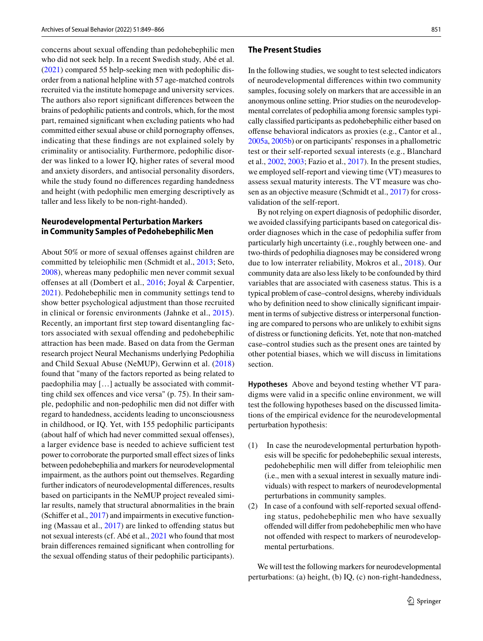concerns about sexual offending than pedohebephilic men who did not seek help. In a recent Swedish study, Abé et al. [\(2021\)](#page-14-3) compared 55 help-seeking men with pedophilic disorder from a national helpline with 57 age-matched controls recruited via the institute homepage and university services. The authors also report signifcant diferences between the brains of pedophilic patients and controls, which, for the most part, remained signifcant when excluding patients who had committed either sexual abuse or child pornography ofenses, indicating that these fndings are not explained solely by criminality or antisociality. Furthermore, pedophilic disorder was linked to a lower IQ, higher rates of several mood and anxiety disorders, and antisocial personality disorders, while the study found no diferences regarding handedness and height (with pedophilic men emerging descriptively as taller and less likely to be non-right-handed).

# **Neurodevelopmental Perturbation Markers in Community Samples of Pedohebephilic Men**

About 50% or more of sexual offenses against children are committed by teleiophilic men (Schmidt et al., [2013](#page-16-12); Seto, [2008](#page-16-13)), whereas many pedophilic men never commit sexual ofenses at all (Dombert et al., [2016;](#page-15-16) Joyal & Carpentier, [2021\)](#page-16-14). Pedohebephilic men in community settings tend to show better psychological adjustment than those recruited in clinical or forensic environments (Jahnke et al., [2015](#page-15-17)). Recently, an important frst step toward disentangling factors associated with sexual offending and pedohebephilic attraction has been made. Based on data from the German research project Neural Mechanisms underlying Pedophilia and Child Sexual Abuse (NeMUP), Gerwinn et al. [\(2018\)](#page-15-18) found that "many of the factors reported as being related to paedophilia may […] actually be associated with committing child sex ofences and vice versa" (p. 75). In their sample, pedophilic and non-pedophilic men did not difer with regard to handedness, accidents leading to unconsciousness in childhood, or IQ. Yet, with 155 pedophilic participants (about half of which had never committed sexual offenses), a larger evidence base is needed to achieve sufficient test power to corroborate the purported small efect sizes of links between pedohebephilia and markers for neurodevelopmental impairment, as the authors point out themselves. Regarding further indicators of neurodevelopmental diferences, results based on participants in the NeMUP project revealed similar results, namely that structural abnormalities in the brain (Schifer et al., [2017](#page-16-15)) and impairments in executive function-ing (Massau et al., [2017](#page-16-16)) are linked to offending status but not sexual interests (cf. Abé et al., [2021](#page-14-3) who found that most brain diferences remained signifcant when controlling for the sexual offending status of their pedophilic participants).

#### **The Present Studies**

In the following studies, we sought to test selected indicators of neurodevelopmental diferences within two community samples, focusing solely on markers that are accessible in an anonymous online setting. Prior studies on the neurodevelopmental correlates of pedophilia among forensic samples typically classifed participants as pedohebephilic either based on ofense behavioral indicators as proxies (e.g., Cantor et al., [2005a](#page-15-3), [2005b\)](#page-15-4) or on participants' responses in a phallometric test or their self-reported sexual interests (e.g., Blanchard et al., [2002](#page-15-1), [2003](#page-15-9); Fazio et al., [2017\)](#page-15-8). In the present studies, we employed self-report and viewing time (VT) measures to assess sexual maturity interests. The VT measure was chosen as an objective measure (Schmidt et al., [2017](#page-16-17)) for crossvalidation of the self-report.

By not relying on expert diagnosis of pedophilic disorder, we avoided classifying participants based on categorical disorder diagnoses which in the case of pedophilia sufer from particularly high uncertainty (i.e., roughly between one- and two-thirds of pedophilia diagnoses may be considered wrong due to low interrater reliability, Mokros et al., [2018\)](#page-16-18). Our community data are also less likely to be confounded by third variables that are associated with caseness status. This is a typical problem of case–control designs, whereby individuals who by definition need to show clinically significant impairment in terms of subjective distress or interpersonal functioning are compared to persons who are unlikely to exhibit signs of distress or functioning defcits. Yet, note that non-matched case–control studies such as the present ones are tainted by other potential biases, which we will discuss in limitations section.

**Hypotheses** Above and beyond testing whether VT paradigms were valid in a specifc online environment, we will test the following hypotheses based on the discussed limitations of the empirical evidence for the neurodevelopmental perturbation hypothesis:

- (1) In case the neurodevelopmental perturbation hypothesis will be specifc for pedohebephilic sexual interests, pedohebephilic men will difer from teleiophilic men (i.e., men with a sexual interest in sexually mature individuals) with respect to markers of neurodevelopmental perturbations in community samples.
- (2) In case of a confound with self-reported sexual ofending status, pedohebephilic men who have sexually ofended will difer from pedohebephilic men who have not offended with respect to markers of neurodevelopmental perturbations.

We will test the following markers for neurodevelopmental perturbations: (a) height, (b) IQ, (c) non-right-handedness,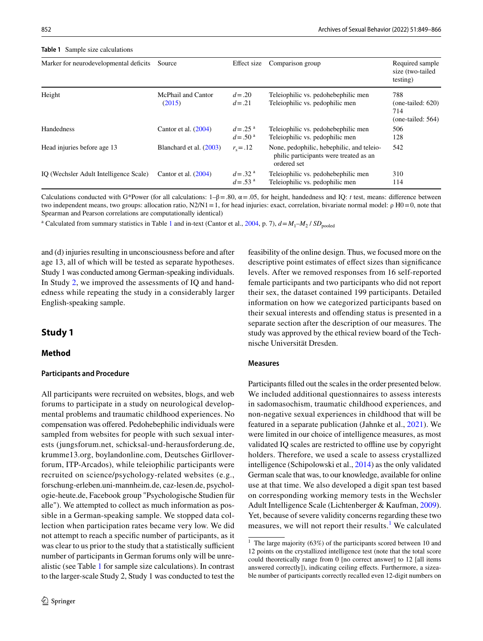#### <span id="page-3-0"></span>**Table 1** Sample size calculations

| Marker for neurodevelopmental deficits | Source                       | Effect size                                      | Comparison group                                                                                   | Required sample<br>size (two-tailed<br>testing)          |
|----------------------------------------|------------------------------|--------------------------------------------------|----------------------------------------------------------------------------------------------------|----------------------------------------------------------|
| Height                                 | McPhail and Cantor<br>(2015) | $d = .20$<br>$d = .21$                           | Teleiophilic vs. pedohebephilic men<br>Teleiophilic vs. pedophilic men                             | 788<br>$(one-tailed: 620)$<br>714<br>$(one-tailed: 564)$ |
| <b>Handedness</b>                      | Cantor et al. $(2004)$       | $d = .25$ <sup>a</sup><br>$d = .50$ <sup>a</sup> | Teleiophilic vs. pedohebephilic men<br>Teleiophilic vs. pedophilic men                             | 506<br>128                                               |
| Head injuries before age 13            | Blanchard et al. (2003)      | $r_{\rm s} = .12$                                | None, pedophilic, hebephilic, and teleio-<br>philic participants were treated as an<br>ordered set | 542                                                      |
| IO (Wechsler Adult Intelligence Scale) | Cantor et al. $(2004)$       | $d = .32$ <sup>a</sup><br>$d = .53$ <sup>a</sup> | Teleiophilic vs. pedohebephilic men<br>Teleiophilic vs. pedophilic men                             | 310<br>114                                               |

Calculations conducted with G\*Power (for all calculations:  $1-\beta = .80$ ,  $\alpha = .05$ , for height, handedness and IQ: *t* test, means: difference between two independent means, two groups: allocation ratio,  $N2/N1 = 1$ , for head injuries: exact, correlation, bivariate normal model: ρ H0 = 0, note that Spearman and Pearson correlations are computationally identical)

<sup>a</sup> Calculated from summary statistics in Table [1](#page-3-0) and in-text (Cantor et al., [2004](#page-15-20), p. 7),  $d = M_1 - M_2 / SD_{pooled}$ 

and (d) injuries resulting in unconsciousness before and after age 13, all of which will be tested as separate hypotheses. Study 1 was conducted among German-speaking individuals. In Study [2](#page-7-0), we improved the assessments of IQ and handedness while repeating the study in a considerably larger English-speaking sample.

# **Study 1**

# **Method**

### **Participants and Procedure**

All participants were recruited on websites, blogs, and web forums to participate in a study on neurological developmental problems and traumatic childhood experiences. No compensation was ofered. Pedohebephilic individuals were sampled from websites for people with such sexual interests (jungsforum.net, schicksal-und-herausforderung.de, krumme13.org, boylandonline.com, Deutsches Girlloverforum, ITP-Arcados), while teleiophilic participants were recruited on science/psychology-related websites (e.g., forschung-erleben.uni-mannheim.de, caz-lesen.de, psychologie-heute.de, Facebook group "Psychologische Studien für alle"). We attempted to collect as much information as possible in a German-speaking sample. We stopped data collection when participation rates became very low. We did not attempt to reach a specifc number of participants, as it was clear to us prior to the study that a statistically sufficient number of participants in German forums only will be unrealistic (see Table [1](#page-3-0) for sample size calculations). In contrast to the larger-scale Study 2, Study 1 was conducted to test the

feasibility of the online design. Thus, we focused more on the descriptive point estimates of efect sizes than signifcance levels. After we removed responses from 16 self-reported female participants and two participants who did not report their sex, the dataset contained 199 participants. Detailed information on how we categorized participants based on their sexual interests and offending status is presented in a separate section after the description of our measures. The study was approved by the ethical review board of the Technische Universität Dresden.

### **Measures**

Participants flled out the scales in the order presented below. We included additional questionnaires to assess interests in sadomasochism, traumatic childhood experiences, and non-negative sexual experiences in childhood that will be featured in a separate publication (Jahnke et al., [2021](#page-15-19)). We were limited in our choice of intelligence measures, as most validated IQ scales are restricted to ofine use by copyright holders. Therefore, we used a scale to assess crystallized intelligence (Schipolowski et al., [2014\)](#page-16-19) as the only validated German scale that was, to our knowledge, available for online use at that time. We also developed a digit span test based on corresponding working memory tests in the Wechsler Adult Intelligence Scale (Lichtenberger & Kaufman, [2009](#page-16-20)). Yet, because of severe validity concerns regarding these two measures, we will not report their results.<sup>[1](#page-3-1)</sup> We calculated

<span id="page-3-1"></span><sup>&</sup>lt;sup>1</sup> The large majority (63%) of the participants scored between 10 and 12 points on the crystallized intelligence test (note that the total score could theoretically range from 0 [no correct answer] to 12 [all items answered correctly]), indicating ceiling efects. Furthermore, a sizeable number of participants correctly recalled even 12-digit numbers on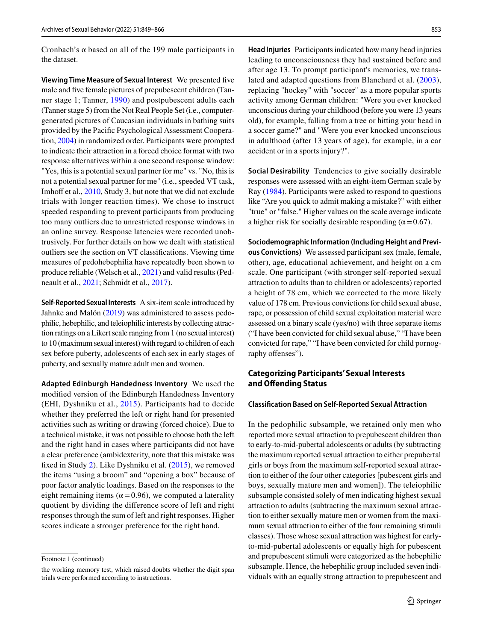Cronbach's  $\alpha$  based on all of the 199 male participants in the dataset.

**Viewing Time Measure of Sexual Interest** We presented fve male and fve female pictures of prepubescent children (Tanner stage 1; Tanner, [1990\)](#page-17-4) and postpubescent adults each (Tanner stage 5) from the Not Real People Set (i.e., computergenerated pictures of Caucasian individuals in bathing suits provided by the Pacifc Psychological Assessment Cooperation, [2004](#page-17-5)) in randomized order. Participants were prompted to indicate their attraction in a forced choice format with two response alternatives within a one second response window: "Yes, this is a potential sexual partner for me" vs. "No, this is not a potential sexual partner for me" (i.e., speeded VT task, Imhoff et al., [2010](#page-15-21), Study 3, but note that we did not exclude trials with longer reaction times). We chose to instruct speeded responding to prevent participants from producing too many outliers due to unrestricted response windows in an online survey. Response latencies were recorded unobtrusively. For further details on how we dealt with statistical outliers see the section on VT classifcations. Viewing time measures of pedohebephilia have repeatedly been shown to produce reliable (Welsch et al., [2021\)](#page-17-6) and valid results (Pedneault et al., [2021](#page-16-22); Schmidt et al., [2017](#page-16-17)).

**Self‑Reported Sexual Interests** A six-item scale introduced by Jahnke and Malón [\(2019\)](#page-15-22) was administered to assess pedophilic, hebephilic, and teleiophilic interests by collecting attraction ratings on a Likert scale ranging from 1 (no sexual interest) to 10 (maximum sexual interest) with regard to children of each sex before puberty, adolescents of each sex in early stages of puberty, and sexually mature adult men and women.

**Adapted Edinburgh Handedness Inventory** We used the modifed version of the Edinburgh Handedness Inventory (EHI, Dyshniku et al., [2015\)](#page-15-10). Participants had to decide whether they preferred the left or right hand for presented activities such as writing or drawing (forced choice). Due to a technical mistake, it was not possible to choose both the left and the right hand in cases where participants did not have a clear preference (ambidexterity, note that this mistake was fixed in Study [2\)](#page-7-0). Like Dyshniku et al. [\(2015\)](#page-15-10), we removed the items "using a broom" and "opening a box" because of poor factor analytic loadings. Based on the responses to the eight remaining items ( $\alpha$  = 0.96), we computed a laterality quotient by dividing the diference score of left and right responses through the sum of left and right responses. Higher scores indicate a stronger preference for the right hand.

**Head Injuries** Participants indicated how many head injuries leading to unconsciousness they had sustained before and after age 13. To prompt participant's memories, we translated and adapted questions from Blanchard et al. [\(2003](#page-15-9)), replacing "hockey" with "soccer" as a more popular sports activity among German children: "Were you ever knocked unconscious during your childhood (before you were 13 years old), for example, falling from a tree or hitting your head in a soccer game?" and "Were you ever knocked unconscious in adulthood (after 13 years of age), for example, in a car accident or in a sports injury?".

**Social Desirability** Tendencies to give socially desirable responses were assessed with an eight-item German scale by Ray ([1984\)](#page-16-23). Participants were asked to respond to questions like "Are you quick to admit making a mistake?" with either "true" or "false." Higher values on the scale average indicate a higher risk for socially desirable responding ( $\alpha$  = 0.67).

**Sociodemographic Information (Including Height and Previ‑ ous Convictions)** We assessed participant sex (male, female, other), age, educational achievement, and height on a cm scale. One participant (with stronger self-reported sexual attraction to adults than to children or adolescents) reported a height of 78 cm, which we corrected to the more likely value of 178 cm. Previous convictions for child sexual abuse, rape, or possession of child sexual exploitation material were assessed on a binary scale (yes/no) with three separate items ("I have been convicted for child sexual abuse," "I have been convicted for rape," "I have been convicted for child pornography offenses").

# **Categorizing Participants' Sexual Interests and Ofending Status**

#### **Classifcation Based on Self‑Reported Sexual Attraction**

In the pedophilic subsample, we retained only men who reported more sexual attraction to prepubescent children than to early-to-mid-pubertal adolescents or adults (by subtracting the maximum reported sexual attraction to either prepubertal girls or boys from the maximum self-reported sexual attraction to either of the four other categories [pubescent girls and boys, sexually mature men and women]). The teleiophilic subsample consisted solely of men indicating highest sexual attraction to adults (subtracting the maximum sexual attraction to either sexually mature men or women from the maximum sexual attraction to either of the four remaining stimuli classes). Those whose sexual attraction was highest for earlyto-mid-pubertal adolescents or equally high for pubescent and prepubescent stimuli were categorized as the hebephilic subsample. Hence, the hebephilic group included seven individuals with an equally strong attraction to prepubescent and

Footnote 1 (continued)

the working memory test, which raised doubts whether the digit span trials were performed according to instructions.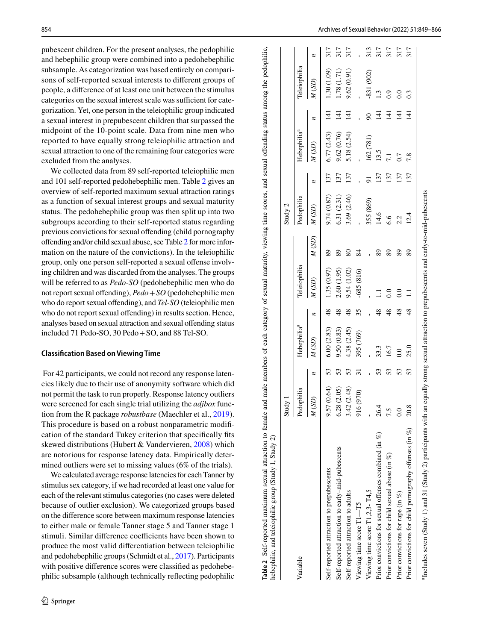pubescent children. For the present analyses, the pedophilic and hebephilic group were combined into a pedohebephilic subsample. As categorization was based entirely on comparisons of self-reported sexual interests to diferent groups of people, a diference of at least one unit between the stimulus categories on the sexual interest scale was sufficient for categorization. Yet, one person in the teleiophilic group indicated a sexual interest in prepubescent children that surpassed the midpoint of the 10-point scale. Data from nine men who reported to have equally strong teleiophilic attraction and sexual attraction to one of the remaining four categories were excluded from the analyses.

We collected data from 89 self-reported teleiophilic men and 101 self-reported pedohebephilic men. Table [2](#page-5-0) gives an overview of self-reported maximum sexual attraction ratings as a function of sexual interest groups and sexual maturity status. The pedohebephilic group was then split up into two subgroups according to their self-reported status regarding previous convictions for sexual offending (child pornography offending and/or child sexual abuse, see Table [2](#page-5-0) for more information on the nature of the convictions). In the teleiophilic group, only one person self-reported a sexual offense involving children and was discarded from the analyses. The groups will be referred to as *Pedo-SO* (pedohebephilic men who do not report sexual ofending), *Pedo*+*SO* (pedohebephilic men who do report sexual offending), and *Tel-SO* (teleiophilic men who do not report sexual offending) in results section. Hence, analyses based on sexual attraction and sexual ofending status included 71 Pedo-SO, 30 Pedo+SO, and 88 Tel-SO.

#### **Classifcation Based on Viewing Time**

 For 42 participants, we could not record any response latencies likely due to their use of anonymity software which did not permit the task to run properly. Response latency outliers were screened for each single trial utilizing the *adjbox* function from the R package *robustbase* (Maechler et al., [2019](#page-16-24)). This procedure is based on a robust nonparametric modifcation of the standard Tukey criterion that specifcally fts skewed distributions (Hubert & Vandervieren, [2008](#page-15-23)) which are notorious for response latency data. Empirically determined outliers were set to missing values (6% of the trials).

<span id="page-5-0"></span>We calculated average response latencies for each Tanner by stimulus sex category, if we had recorded at least one value for each of the relevant stimulus categories (no cases were deleted because of outlier exclusion). We categorized groups based on the diference score between maximum response latencies to either male or female Tanner stage 5 and Tanner stage 1 stimuli. Similar difference coefficients have been shown to produce the most valid diferentiation between teleiophilic and pedohebephilic groups (Schmidt et al., [2017\)](#page-16-17). Participants with positive diference scores were classifed as pedohebephilic subsample (although technically refecting pedophilic

|                                                         | Study 1        |    |                         |               |              |       | Study 2     |     |                         |                |              |     |
|---------------------------------------------------------|----------------|----|-------------------------|---------------|--------------|-------|-------------|-----|-------------------------|----------------|--------------|-----|
| Variable                                                | Pedophilia     |    | Hebephilia <sup>a</sup> |               | Teleiophilia |       | Pedophilia  |     | Hebephilia <sup>a</sup> |                | Teleiophilia |     |
|                                                         | M(SD)          |    | M(SD)                   | z             | M(SD)        | M(SD) | M(SD)       |     | M(SD)                   | n              | M(SD)        |     |
| Self-reported attraction to prepubescents               | (0.64)<br>9.57 | 53 | 6.00(2.83)              | 48            | 1.35 (0.97)  | 89    | 9.74 (0.87) | 137 | 6.77(2.43)              | $\overline{4}$ | 1.30 (1.09)  | 317 |
| Self-reported attraction to early-mid-pubescents        | (2.05)<br>6.28 | 53 | 9.50(0.83)              | 48            | 2.60(1.95)   | 89    | 6.31(2.31)  | 137 | 9.62(0.76)              | $\vec{A}$      | 1.78 (1.71)  | 317 |
| Self-reported attraction to adults                      | (2.48)<br>3.42 | 53 | 4.38 (2.45)             | $\frac{8}{3}$ | 9.54(1.02)   |       | 3.69 (2.46) | 137 | 5.18 (2.54)             | $\vec{4}$      | 9.62(0.91)   | 317 |
| Viewing time score T1-T5                                | (970)<br>916(  |    | 395 (769)               | 35            | $-685(816)$  | 84    |             |     |                         |                |              |     |
| Viewing time score T1,2,3-T4,5                          |                |    |                         |               |              |       | 355 (869)   | 51  | 162 (781)               | 8              | $-831(902)$  | 313 |
| Prior convictions for sexual offenses combined (in %)   | 26.4           | 53 | 33.3                    | 3             |              | 89    | 14.6        | 137 | 13.5                    | $\overline{4}$ | $\ddot{ }$   | 317 |
| Prior convictions for child sexual abuse (in $%$ )      | 7.5            | 53 | 16.7                    | $\frac{8}{3}$ |              | 89    | 6.6         | 137 |                         | 4              | 0.9          | 317 |
| Prior convictions for rape (in %)                       | $\frac{1}{2}$  | 53 | $\overline{0}$ .        | $\frac{8}{3}$ | 0.0          | 89    | 2.2         | 137 | 0.7                     | $\overline{4}$ |              | 317 |
| Prior convictions for child pornography offenses (in %) | 20.8           | 53 | 25.0                    | 48            |              | 89    | 12.4        | 137 | 7.8                     | $\overline{4}$ |              | 317 |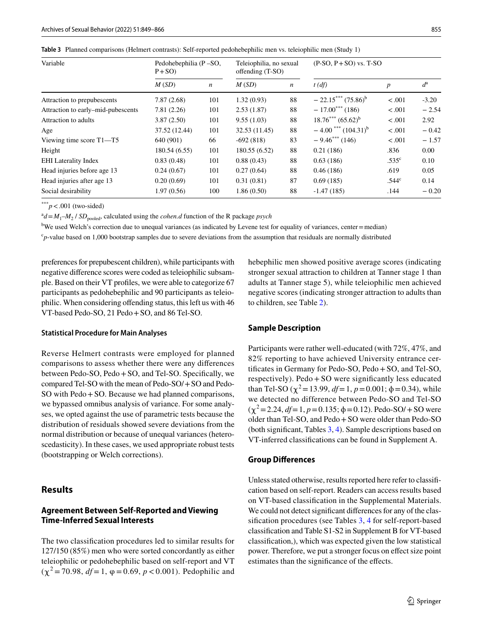<span id="page-6-0"></span>**Table 3** Planned comparisons (Helmert contrasts): Self-reported pedohebephilic men vs. teleiophilic men (Study 1)

| Variable                           | Pedohebephilia (P-SO,<br>$P+SO$ |                  | Teleiophilia, no sexual<br>offending $(T-SO)$ |                  | $(P-SO, P + SO)$ vs. T-SO                      |                   |             |
|------------------------------------|---------------------------------|------------------|-----------------------------------------------|------------------|------------------------------------------------|-------------------|-------------|
|                                    | M(SD)                           | $\boldsymbol{n}$ | M(SD)                                         | $\boldsymbol{n}$ | $t(d\mathbf{f})$                               | p                 | $d^{\rm a}$ |
| Attraction to prepubescents        | 7.87(2.68)                      | 101              | 1.32(0.93)                                    | 88               | $-22.15***(75.86)^{b}$                         | < .001            | $-3.20$     |
| Attraction to early–mid-pubescents | 7.81(2.26)                      | 101              | 2.53(1.87)                                    | 88               | $-17.00^{***}$ (186)                           | < .001            | $-2.54$     |
| Attraction to adults               | 3.87(2.50)                      | 101              | 9.55(1.03)                                    | 88               | $18.76***(65.62)^b$                            | < .001            | 2.92        |
| Age                                | 37.52 (12.44)                   | 101              | 32.53 (11.45)                                 | 88               | $-4.00$ <sup>***</sup> $(104.31)$ <sup>b</sup> | < .001            | $-0.42$     |
| Viewing time score T1—T5           | 640 (901)                       | 66               | $-692(818)$                                   | 83               | $-9.46***(146)$                                | $-.001$           | $-1.57$     |
| Height                             | 180.54 (6.55)                   | 101              | 180.55 (6.52)                                 | 88               | 0.21(186)                                      | .836              | 0.00        |
| <b>EHI</b> Laterality Index        | 0.83(0.48)                      | 101              | 0.88(0.43)                                    | 88               | 0.63(186)                                      | .535 <sup>c</sup> | 0.10        |
| Head injuries before age 13        | 0.24(0.67)                      | 101              | 0.27(0.64)                                    | 88               | 0.46(186)                                      | .619              | 0.05        |
| Head injuries after age 13         | 0.20(0.69)                      | 101              | 0.31(0.81)                                    | 87               | 0.69(185)                                      | .544 <sup>c</sup> | 0.14        |
| Social desirability                | 1.97(0.56)                      | 100              | 1.86(0.50)                                    | 88               | $-1.47(185)$                                   | .144              | $-0.20$     |

\*\*\* $p < .001$  (two-sided)

 $\alpha^a d = M_1 - M_2$  / *SD*<sub>pooled</sub>, calculated using the *cohen.d* function of the R package *psych* 

<sup>b</sup>We used Welch's correction due to unequal variances (as indicated by Levene test for equality of variances, center=median)

c *p*-value based on 1,000 bootstrap samples due to severe deviations from the assumption that residuals are normally distributed

preferences for prepubescent children), while participants with negative diference scores were coded as teleiophilic subsample. Based on their VT profles, we were able to categorize 67 participants as pedohebephilic and 90 participants as teleiophilic. When considering ofending status, this left us with 46 VT-based Pedo-SO, 21 Pedo+SO, and 86 Tel-SO.

#### **Statistical Procedure for Main Analyses**

Reverse Helmert contrasts were employed for planned comparisons to assess whether there were any diferences between Pedo-SO, Pedo+SO, and Tel-SO. Specifcally, we compared Tel-SO with the mean of Pedo-SO/+SO and Pedo-SO with Pedo+SO. Because we had planned comparisons, we bypassed omnibus analysis of variance. For some analyses, we opted against the use of parametric tests because the distribution of residuals showed severe deviations from the normal distribution or because of unequal variances (heteroscedasticity). In these cases, we used appropriate robust tests (bootstrapping or Welch corrections).

### **Results**

# **Agreement Between Self‑Reported and Viewing Time‑Inferred Sexual Interests**

The two classifcation procedures led to similar results for 127/150 (85%) men who were sorted concordantly as either teleiophilic or pedohebephilic based on self-report and VT  $(χ<sup>2</sup> = 70.98, df = 1, φ = 0.69, p < 0.001)$ . Pedophilic and hebephilic men showed positive average scores (indicating stronger sexual attraction to children at Tanner stage 1 than adults at Tanner stage 5), while teleiophilic men achieved negative scores (indicating stronger attraction to adults than to children, see Table [2\)](#page-5-0).

#### **Sample Description**

Participants were rather well-educated (with 72%, 47%, and 82% reporting to have achieved University entrance certifcates in Germany for Pedo-SO, Pedo+SO, and Tel-SO, respectively). Pedo+SO were signifcantly less educated than Tel-SO ( $\chi^2$  = 13.99, *df* = 1, *p* = 0.001;  $\phi$  = 0.34), while we detected no difference between Pedo-SO and Tel-SO  $(\chi^2 = 2.24, df = 1, p = 0.135; \phi = 0.12)$ . Pedo-SO/+SO were older than Tel-SO, and Pedo+SO were older than Pedo-SO (both signifcant, Tables [3](#page-6-0), [4\)](#page-7-1). Sample descriptions based on VT-inferred classifcations can be found in Supplement A.

## **Group Diferences**

Unless stated otherwise, results reported here refer to classifcation based on self-report. Readers can access results based on VT-based classifcation in the Supplemental Materials. We could not detect significant differences for any of the classifcation procedures (see Tables [3,](#page-6-0) [4](#page-7-1) for self-report-based classifcation and Table S1-S2 in Supplement B for VT-based classifcation,), which was expected given the low statistical power. Therefore, we put a stronger focus on efect size point estimates than the signifcance of the efects.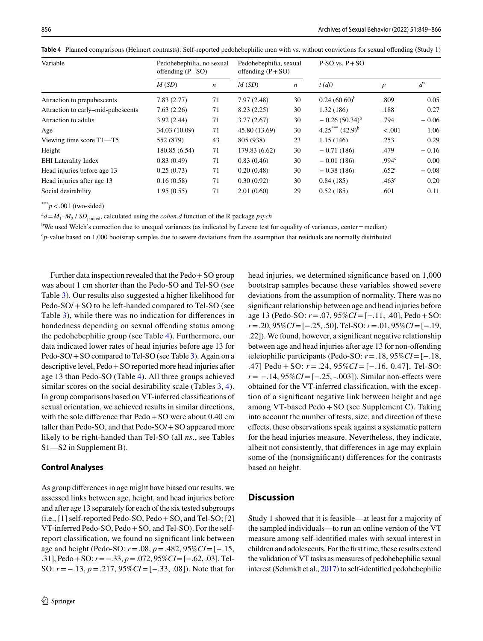<span id="page-7-1"></span>

|  | Table 4 Planned comparisons (Helmert contrasts): Self-reported pedohebephilic men with vs. without convictions for sexual offending (Study 1) |  |  |  |  |  |  |  |  |  |  |
|--|-----------------------------------------------------------------------------------------------------------------------------------------------|--|--|--|--|--|--|--|--|--|--|
|--|-----------------------------------------------------------------------------------------------------------------------------------------------|--|--|--|--|--|--|--|--|--|--|

| Variable                           | Pedohebephilia, no sexual<br>offending $(P - SO)$ |            | Pedohebephilia, sexual<br>offending $(P + SO)$ |                  | $P-SO vs. P+SO$    |                   |             |  |
|------------------------------------|---------------------------------------------------|------------|------------------------------------------------|------------------|--------------------|-------------------|-------------|--|
|                                    | M(SD)                                             | $\sqrt{n}$ | M(SD)                                          | $\boldsymbol{n}$ | $t(d\mathbf{f})$   | $\boldsymbol{p}$  | $d^{\rm a}$ |  |
| Attraction to prepubescents        | 7.83(2.77)                                        | 71         | 7.97(2.48)                                     | 30               | $0.24(60.60)^b$    | .809              | 0.05        |  |
| Attraction to early–mid-pubescents | 7.63(2.26)                                        | 71         | 8.23(2.25)                                     | 30               | 1.32(186)          | .188              | 0.27        |  |
| Attraction to adults               | 3.92(2.44)                                        | 71         | 3.77(2.67)                                     | 30               | $-0.26(50.34)^{b}$ | .794              | $-0.06$     |  |
| Age                                | 34.03 (10.09)                                     | 71         | 45.80 (13.69)                                  | 30               | $4.25***(42.9)^b$  | $-.001$           | 1.06        |  |
| Viewing time score $T1 - T5$       | 552 (879)                                         | 43         | 805 (938)                                      | 23               | 1.15(146)          | .253              | 0.29        |  |
| Height                             | 180.85 (6.54)                                     | 71         | 179.83 (6.62)                                  | 30               | $-0.71(186)$       | .479              | $-0.16$     |  |
| <b>EHI</b> Laterality Index        | 0.83(0.49)                                        | 71         | 0.83(0.46)                                     | 30               | $-0.01(186)$       | .994 <sup>c</sup> | 0.00        |  |
| Head injuries before age 13        | 0.25(0.73)                                        | 71         | 0.20(0.48)                                     | 30               | $-0.38(186)$       | .652 <sup>c</sup> | $-0.08$     |  |
| Head injuries after age 13         | 0.16(0.58)                                        | 71         | 0.30(0.92)                                     | 30               | 0.84(185)          | .463 <sup>c</sup> | 0.20        |  |
| Social desirability                | 1.95(0.55)                                        | 71         | 2.01(0.60)                                     | 29               | 0.52(185)          | .601              | 0.11        |  |

\*\*\* $p < .001$  (two-sided)

 $\alpha^a d = M_1 - M_2$  / *SD*<sub>pooled</sub>, calculated using the *cohen.d* function of the R package *psych* 

<sup>b</sup>We used Welch's correction due to unequal variances (as indicated by Levene test for equality of variances, center=median)

c *p*-value based on 1,000 bootstrap samples due to severe deviations from the assumption that residuals are normally distributed

Further data inspection revealed that the Pedo+SO group was about 1 cm shorter than the Pedo-SO and Tel-SO (see Table [3](#page-6-0)). Our results also suggested a higher likelihood for Pedo-SO/+SO to be left-handed compared to Tel-SO (see Table [3](#page-6-0)), while there was no indication for diferences in handedness depending on sexual offending status among the pedohebephilic group (see Table [4](#page-7-1)). Furthermore, our data indicated lower rates of head injuries before age 13 for Pedo-SO/+SO compared to Tel-SO (see Table [3\)](#page-6-0). Again on a descriptive level, Pedo+SO reported more head injuries after age 13 than Pedo-SO (Table [4\)](#page-7-1). All three groups achieved similar scores on the social desirability scale (Tables [3](#page-6-0), [4](#page-7-1)). In group comparisons based on VT-inferred classifcations of sexual orientation, we achieved results in similar directions, with the sole difference that Pedo + SO were about 0.40 cm taller than Pedo-SO, and that Pedo-SO/+SO appeared more likely to be right-handed than Tel-SO (all *ns*., see Tables S1—S2 in Supplement B).

# **Control Analyses**

As group diferences in age might have biased our results, we assessed links between age, height, and head injuries before and after age 13 separately for each of the six tested subgroups (i.e., [1] self-reported Pedo-SO, Pedo+SO, and Tel-SO; [2] VT-inferred Pedo-SO, Pedo+SO, and Tel-SO). For the selfreport classifcation, we found no signifcant link between age and height (Pedo-SO: *r*=.08, *p*=.482, 95%*CI*=[−.15, .31], Pedo+SO: *r*=−.33, *p*=.072, 95%*CI*=[−.62, .03], Tel-SO: *r*=−.13, *p*=.217, 95%*CI*=[−.33, .08]). Note that for head injuries, we determined signifcance based on 1,000 bootstrap samples because these variables showed severe deviations from the assumption of normality. There was no signifcant relationship between age and head injuries before age 13 (Pedo-SO: *r*=.07, 95%*CI*=[−.11, .40], Pedo+SO: *r*=.20, 95%*CI*=[−.25, .50], Tel-SO: *r*=.01, 95%*CI*=[−.19, .22]). We found, however, a signifcant negative relationship between age and head injuries after age 13 for non-ofending teleiophilic participants (Pedo-SO: *r*=.18, 95%*CI*=[−.18, .47] Pedo + SO: *r* = .24, 95%*CI* = [−.16, 0.47], Tel-SO: *r* = −.14, 95%*CI* = [−.25, -.003]). Similar non-effects were obtained for the VT-inferred classifcation, with the exception of a signifcant negative link between height and age among VT-based Pedo+SO (see Supplement C). Taking into account the number of tests, size, and direction of these efects, these observations speak against a systematic pattern for the head injuries measure. Nevertheless, they indicate, albeit not consistently, that diferences in age may explain some of the (nonsignifcant) diferences for the contrasts based on height.

# <span id="page-7-0"></span>**Discussion**

Study 1 showed that it is feasible—at least for a majority of the sampled individuals—to run an online version of the VT measure among self-identifed males with sexual interest in children and adolescents. For the frst time, these results extend the validation of VT tasks as measures of pedohebephilic sexual interest (Schmidt et al., [2017\)](#page-16-17) to self-identifed pedohebephilic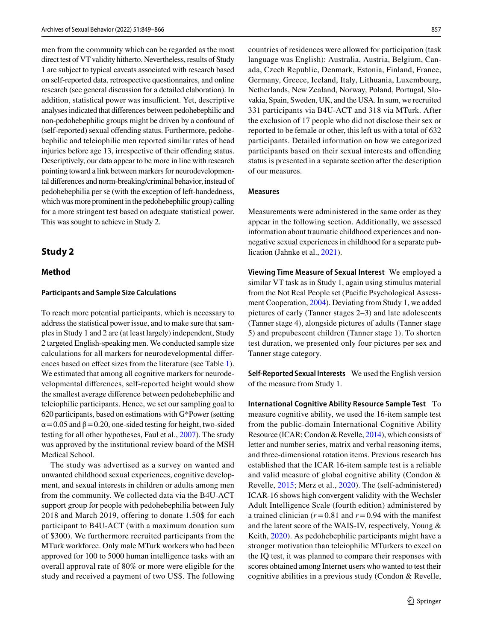men from the community which can be regarded as the most direct test of VT validity hitherto. Nevertheless, results of Study 1 are subject to typical caveats associated with research based on self-reported data, retrospective questionnaires, and online research (see general discussion for a detailed elaboration). In addition, statistical power was insufficient. Yet, descriptive analyses indicated that diferences between pedohebephilic and non-pedohebephilic groups might be driven by a confound of (self-reported) sexual offending status. Furthermore, pedohebephilic and teleiophilic men reported similar rates of head injuries before age 13, irrespective of their offending status. Descriptively, our data appear to be more in line with research pointing toward a link between markers for neurodevelopmental diferences and norm-breaking/criminal behavior, instead of pedohebephilia per se (with the exception of left-handedness, which was more prominent in the pedohebephilic group) calling for a more stringent test based on adequate statistical power. This was sought to achieve in Study 2.

## **Study 2**

## **Method**

## **Participants and Sample Size Calculations**

To reach more potential participants, which is necessary to address the statistical power issue, and to make sure that samples in Study 1 and 2 are (at least largely) independent, Study 2 targeted English-speaking men. We conducted sample size calculations for all markers for neurodevelopmental diferences based on efect sizes from the literature (see Table [1](#page-3-0)). We estimated that among all cognitive markers for neurodevelopmental diferences, self-reported height would show the smallest average diference between pedohebephilic and teleiophilic participants. Hence, we set our sampling goal to 620 participants, based on estimations with G\*Power (setting  $\alpha$  = 0.05 and  $\beta$  = 0.20, one-sided testing for height, two-sided testing for all other hypotheses, Faul et al., [2007\)](#page-15-24). The study was approved by the institutional review board of the MSH Medical School.

The study was advertised as a survey on wanted and unwanted childhood sexual experiences, cognitive development, and sexual interests in children or adults among men from the community. We collected data via the B4U-ACT support group for people with pedohebephilia between July 2018 and March 2019, offering to donate 1.50\$ for each participant to B4U-ACT (with a maximum donation sum of \$300). We furthermore recruited participants from the MTurk workforce. Only male MTurk workers who had been approved for 100 to 5000 human intelligence tasks with an overall approval rate of 80% or more were eligible for the study and received a payment of two US\$. The following countries of residences were allowed for participation (task language was English): Australia, Austria, Belgium, Canada, Czech Republic, Denmark, Estonia, Finland, France, Germany, Greece, Iceland, Italy, Lithuania, Luxembourg, Netherlands, New Zealand, Norway, Poland, Portugal, Slovakia, Spain, Sweden, UK, and the USA. In sum, we recruited 331 participants via B4U-ACT and 318 via MTurk. After the exclusion of 17 people who did not disclose their sex or reported to be female or other, this left us with a total of 632 participants. Detailed information on how we categorized participants based on their sexual interests and ofending status is presented in a separate section after the description of our measures.

#### **Measures**

Measurements were administered in the same order as they appear in the following section. Additionally, we assessed information about traumatic childhood experiences and nonnegative sexual experiences in childhood for a separate publication (Jahnke et al., [2021](#page-15-19)).

**Viewing Time Measure of Sexual Interest** We employed a similar VT task as in Study 1, again using stimulus material from the Not Real People set (Pacifc Psychological Assessment Cooperation, [2004](#page-17-5)). Deviating from Study 1, we added pictures of early (Tanner stages 2–3) and late adolescents (Tanner stage 4), alongside pictures of adults (Tanner stage 5) and prepubescent children (Tanner stage 1). To shorten test duration, we presented only four pictures per sex and Tanner stage category.

**Self‑Reported Sexual Interests** We used the English version of the measure from Study 1.

**International Cognitive Ability Resource Sample Test** To measure cognitive ability, we used the 16-item sample test from the public-domain International Cognitive Ability Resource (ICAR; Condon & Revelle, [2014\)](#page-15-25), which consists of letter and number series, matrix and verbal reasoning items, and three-dimensional rotation items. Previous research has established that the ICAR 16-item sample test is a reliable and valid measure of global cognitive ability (Condon & Revelle, [2015;](#page-15-26) Merz et al., [2020](#page-16-25)). The (self-administered) ICAR-16 shows high convergent validity with the Wechsler Adult Intelligence Scale (fourth edition) administered by a trained clinician  $(r=0.81$  and  $r=0.94$  with the manifest and the latent score of the WAIS-IV, respectively, Young & Keith, [2020](#page-17-7)). As pedohebephilic participants might have a stronger motivation than teleiophilic MTurkers to excel on the IQ test, it was planned to compare their responses with scores obtained among Internet users who wanted to test their cognitive abilities in a previous study (Condon & Revelle,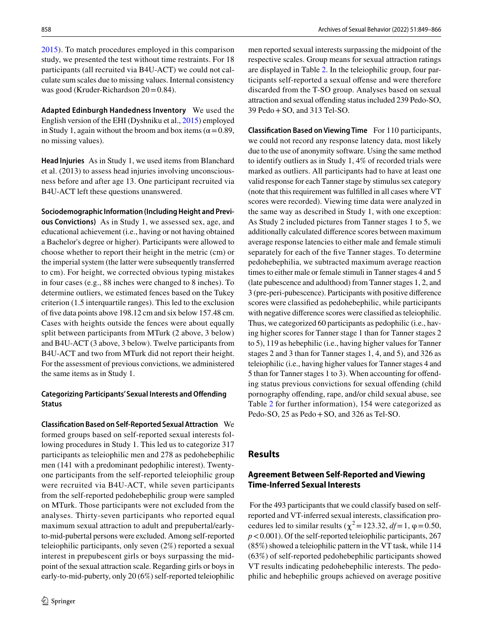[2015\)](#page-15-26). To match procedures employed in this comparison study, we presented the test without time restraints. For 18 participants (all recruited via B4U-ACT) we could not calculate sum scales due to missing values. Internal consistency was good (Kruder-Richardson 20 = 0.84).

**Adapted Edinburgh Handedness Inventory** We used the English version of the EHI (Dyshniku et al., [2015](#page-15-10)) employed in Study 1, again without the broom and box items ( $\alpha$  = 0.89, no missing values).

**Head Injuries** As in Study 1, we used items from Blanchard et al. (2013) to assess head injuries involving unconsciousness before and after age 13. One participant recruited via B4U-ACT left these questions unanswered.

**Sociodemographic Information (Including Height and Previ‑ ous Convictions)** As in Study 1, we assessed sex, age, and educational achievement (i.e., having or not having obtained a Bachelor's degree or higher). Participants were allowed to choose whether to report their height in the metric (cm) or the imperial system (the latter were subsequently transferred to cm). For height, we corrected obvious typing mistakes in four cases (e.g., 88 inches were changed to 8 inches). To determine outliers, we estimated fences based on the Tukey criterion (1.5 interquartile ranges). This led to the exclusion of fve data points above 198.12 cm and six below 157.48 cm. Cases with heights outside the fences were about equally split between participants from MTurk (2 above, 3 below) and B4U-ACT (3 above, 3 below). Twelve participants from B4U-ACT and two from MTurk did not report their height. For the assessment of previous convictions, we administered the same items as in Study 1.

## **Categorizing Participants' Sexual Interests and Ofending Status**

**Classifcation Based on Self‑Reported Sexual Attraction** We formed groups based on self-reported sexual interests following procedures in Study 1. This led us to categorize 317 participants as teleiophilic men and 278 as pedohebephilic men (141 with a predominant pedophilic interest). Twentyone participants from the self-reported teleiophilic group were recruited via B4U-ACT, while seven participants from the self-reported pedohebephilic group were sampled on MTurk. Those participants were not excluded from the analyses. Thirty-seven participants who reported equal maximum sexual attraction to adult and prepubertal/earlyto-mid-pubertal persons were excluded. Among self-reported teleiophilic participants, only seven (2%) reported a sexual interest in prepubescent girls or boys surpassing the midpoint of the sexual attraction scale. Regarding girls or boys in early-to-mid-puberty, only 20 (6%) self-reported teleiophilic men reported sexual interests surpassing the midpoint of the respective scales. Group means for sexual attraction ratings are displayed in Table [2](#page-5-0). In the teleiophilic group, four participants self-reported a sexual offense and were therefore discarded from the T-SO group. Analyses based on sexual attraction and sexual ofending status included 239 Pedo-SO, 39 Pedo+SO, and 313 Tel-SO.

**Classifcation Based on Viewing Time** For 110 participants, we could not record any response latency data, most likely due to the use of anonymity software. Using the same method to identify outliers as in Study 1, 4% of recorded trials were marked as outliers. All participants had to have at least one valid response for each Tanner stage by stimulus sex category (note that this requirement was fulflled in all cases where VT scores were recorded). Viewing time data were analyzed in the same way as described in Study 1, with one exception: As Study 2 included pictures from Tanner stages 1 to 5, we additionally calculated diference scores between maximum average response latencies to either male and female stimuli separately for each of the fve Tanner stages. To determine pedohebephilia, we subtracted maximum average reaction times to either male or female stimuli in Tanner stages 4 and 5 (late pubescence and adulthood) from Tanner stages 1, 2, and 3 (pre-peri-pubescence). Participants with positive diference scores were classifed as pedohebephilic, while participants with negative diference scores were classifed as teleiophilic. Thus, we categorized 60 participants as pedophilic (i.e., having higher scores for Tanner stage 1 than for Tanner stages 2 to 5), 119 as hebephilic (i.e., having higher values for Tanner stages 2 and 3 than for Tanner stages 1, 4, and 5), and 326 as teleiophilic (i.e., having higher values for Tanner stages 4 and 5 than for Tanner stages 1 to 3). When accounting for ofending status previous convictions for sexual ofending (child pornography ofending, rape, and/or child sexual abuse, see Table [2](#page-5-0) for further information), 154 were categorized as Pedo-SO, 25 as Pedo+SO, and 326 as Tel-SO.

# **Results**

# **Agreement Between Self‑Reported and Viewing Time‑Inferred Sexual Interests**

 For the 493 participants that we could classify based on selfreported and VT-inferred sexual interests, classifcation procedures led to similar results ( $\chi^2$  = 123.32, *df* = 1,  $\varphi$  = 0.50,  $p < 0.001$ ). Of the self-reported teleiophilic participants, 267 (85%) showed a teleiophilic pattern in the VT task, while 114 (63%) of self-reported pedohebephilic participants showed VT results indicating pedohebephilic interests. The pedophilic and hebephilic groups achieved on average positive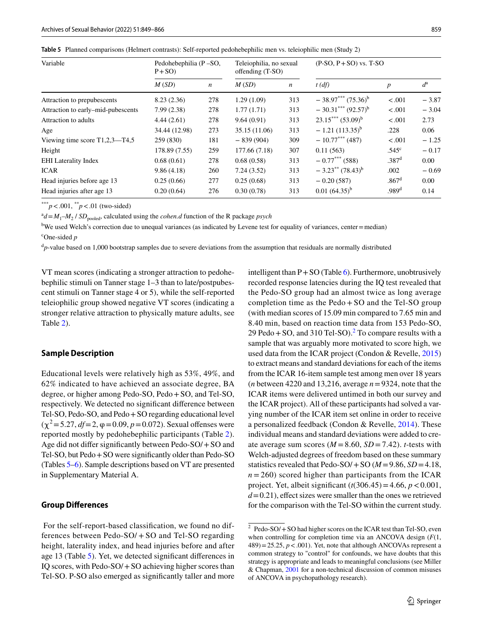<span id="page-10-0"></span>**Table 5** Planned comparisons (Helmert contrasts): Self-reported pedohebephilic men vs. teleiophilic men (Study 2)

| Variable                           | $P+SO$        | Pedohebephilia (P-SO, |               | Teleiophilia, no sexual<br>offending $(T-SO)$ | $(P-SO, P + SO)$ vs. T-SO |                   |             |  |
|------------------------------------|---------------|-----------------------|---------------|-----------------------------------------------|---------------------------|-------------------|-------------|--|
|                                    | M(SD)         | $\boldsymbol{n}$      | M(SD)         | $\boldsymbol{n}$                              | $t(d\mathbf{f})$          | p                 | $d^{\rm a}$ |  |
| Attraction to prepubescents        | 8.23(2.36)    | 278                   | 1.29(1.09)    | 313                                           | $-38.97***(75.36)^b$      | $-.001$           | $-3.87$     |  |
| Attraction to early–mid-pubescents | 7.99(2.38)    | 278                   | 1.77(1.71)    | 313                                           | $-30.31***(92.57)^{b}$    | $-.001$           | $-3.04$     |  |
| Attraction to adults               | 4.44(2.61)    | 278                   | 9.64(0.91)    | 313                                           | $23.15***(53.09)^b$       | $-.001$           | 2.73        |  |
| Age                                | 34.44 (12.98) | 273                   | 35.15 (11.06) | 313                                           | $-1.21(113.35)^{b}$       | .228              | 0.06        |  |
| Viewing time score $T1,2,3$ —T4,5  | 259 (830)     | 181                   | $-839(904)$   | 309                                           | $-10.77***$ (487)         | $-.001$           | $-1.25$     |  |
| Height                             | 178.89 (7.55) | 259                   | 177.66 (7.18) | 307                                           | 0.11(563)                 | .545 <sup>c</sup> | $-0.17$     |  |
| <b>EHI</b> Laterality Index        | 0.68(0.61)    | 278                   | 0.68(0.58)    | 313                                           | $-0.77***$ (588)          | .387 <sup>d</sup> | 0.00        |  |
| <b>ICAR</b>                        | 9.86(4.18)    | 260                   | 7.24(3.52)    | 313                                           | $-3.23^{**} (78.43)^{b}$  | .002              | $-0.69$     |  |
| Head injuries before age 13        | 0.25(0.66)    | 277                   | 0.25(0.68)    | 313                                           | $-0.20(587)$              | .867 <sup>d</sup> | 0.00        |  |
| Head injuries after age 13         | 0.20(0.64)    | 276                   | 0.30(0.78)    | 313                                           | $0.01(64.35)^{b}$         | .989 <sup>d</sup> | 0.14        |  |

\*\*\* $p < .001,$ \*\* $p < .01$  (two-sided)

 $\alpha^a d = M_1 - M_2$  / *SD*<sub>pooled</sub>, calculated using the *cohen.d* function of the R package *psych* 

<sup>b</sup>We used Welch's correction due to unequal variances (as indicated by Levene test for equality of variances, center=median) c One-sided *p*

<sup>d</sup>p-value based on 1,000 bootstrap samples due to severe deviations from the assumption that residuals are normally distributed

VT mean scores (indicating a stronger attraction to pedohebephilic stimuli on Tanner stage 1–3 than to late/postpubescent stimuli on Tanner stage 4 or 5), while the self-reported teleiophilic group showed negative VT scores (indicating a stronger relative attraction to physically mature adults, see Table [2\)](#page-5-0).

#### **Sample Description**

Educational levels were relatively high as 53%, 49%, and 62% indicated to have achieved an associate degree, BA degree, or higher among Pedo-SO, Pedo+SO, and Tel-SO, respectively. We detected no signifcant diference between Tel-SO, Pedo-SO, and Pedo+SO regarding educational level  $(\chi^2 = 5.27, df = 2, \phi = 0.09, p = 0.072)$ . Sexual offenses were reported mostly by pedohebephilic participants (Table [2](#page-5-0)). Age did not difer signifcantly between Pedo-SO/+SO and Tel-SO, but Pedo+SO were signifcantly older than Pedo-SO (Tables [5](#page-10-0)[–6](#page-11-0)). Sample descriptions based on VT are presented in Supplementary Material A.

#### **Group Diferences**

 For the self-report-based classifcation, we found no differences between Pedo-SO/ + SO and Tel-SO regarding height, laterality index, and head injuries before and after age 13 (Table [5](#page-10-0)). Yet, we detected signifcant diferences in IQ scores, with Pedo-SO/+SO achieving higher scores than Tel-SO. P-SO also emerged as signifcantly taller and more intelligent than  $P + SO$  (Table [6](#page-11-0)). Furthermore, unobtrusively recorded response latencies during the IQ test revealed that the Pedo-SO group had an almost twice as long average completion time as the Pedo + SO and the Tel-SO group (with median scores of 15.09 min compared to 7.65 min and 8.40 min, based on reaction time data from 153 Pedo-SO, [2](#page-10-1)9 Pedo  $+$  SO, and 310 Tel-SO).<sup>2</sup> To compare results with a sample that was arguably more motivated to score high, we used data from the ICAR project (Condon & Revelle, [2015\)](#page-15-26) to extract means and standard deviations for each of the items from the ICAR 16-item sample test among men over 18 years (*n* between 4220 and 13,216, average *n*=9324, note that the ICAR items were delivered untimed in both our survey and the ICAR project). All of these participants had solved a varying number of the ICAR item set online in order to receive a personalized feedback (Condon & Revelle, [2014](#page-15-25)). These individual means and standard deviations were added to create average sum scores  $(M = 8.60, SD = 7.42)$ . *t*-tests with Welch-adjusted degrees of freedom based on these summary statistics revealed that Pedo-SO/+SO (*M*=9.86, *SD*=4.18,  $n = 260$ ) scored higher than participants from the ICAR project. Yet, albeit significant  $(t(306.45)=4.66, p < 0.001,$  $d=0.21$ , effect sizes were smaller than the ones we retrieved for the comparison with the Tel-SO within the current study.

<span id="page-10-1"></span><sup>2</sup> Pedo-SO/+SO had higher scores on the ICAR test than Tel-SO, even when controlling for completion time via an ANCOVA design (*F*(1,  $(489) = 25.25$ ,  $p < .001$ ). Yet, note that although ANCOVAs represent a common strategy to "control" for confounds, we have doubts that this strategy is appropriate and leads to meaningful conclusions (see Miller & Chapman, [2001](#page-16-26) for a non-technical discussion of common misuses of ANCOVA in psychopathology research).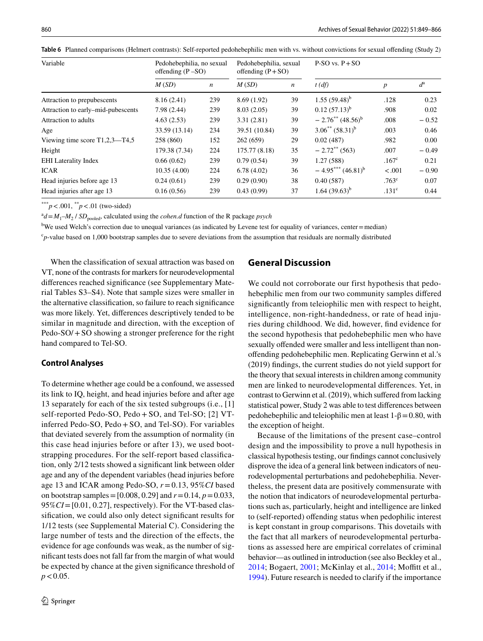<span id="page-11-0"></span>**Table 6** Planned comparisons (Helmert contrasts): Self-reported pedohebephilic men with vs. without convictions for sexual ofending (Study 2)

| Variable                           | Pedohebephilia, no sexual<br>offending $(P - SO)$ |                  | Pedohebephilia, sexual<br>offending $(P + SO)$ |                  | $P-SO vs. P+SO$                   |                   |             |  |
|------------------------------------|---------------------------------------------------|------------------|------------------------------------------------|------------------|-----------------------------------|-------------------|-------------|--|
|                                    | M(SD)                                             | $\boldsymbol{n}$ | M(SD)                                          | $\boldsymbol{n}$ | $t(d\mathbf{f})$                  | $\boldsymbol{p}$  | $d^{\rm a}$ |  |
| Attraction to prepubescents        | 8.16(2.41)                                        | 239              | 8.69(1.92)                                     | 39               | $1.55(59.48)^{b}$                 | .128              | 0.23        |  |
| Attraction to early–mid-pubescents | 7.98(2.44)                                        | 239              | 8.03(2.05)                                     | 39               | $0.12(57.13)^{b}$                 | .908              | 0.02        |  |
| Attraction to adults               | 4.63(2.53)                                        | 239              | 3.31(2.81)                                     | 39               | $-2.76^{**}$ (48.56) <sup>b</sup> | .008              | $-0.52$     |  |
| Age                                | 33.59 (13.14)                                     | 234              | 39.51 (10.84)                                  | 39               | $3.06^{**}$ $(58.31)^b$           | .003              | 0.46        |  |
| Viewing time score $T1,2,3$ —T4,5  | 258 (860)                                         | 152              | 262(659)                                       | 29               | 0.02(487)                         | .982              | $0.00\,$    |  |
| Height                             | 179.38 (7.34)                                     | 224              | 175.77 (8.18)                                  | 35               | $-2.72^{\ast\ast}$ (563)          | .007              | $-0.49$     |  |
| <b>EHI</b> Laterality Index        | 0.66(0.62)                                        | 239              | 0.79(0.54)                                     | 39               | 1.27(588)                         | .167 <sup>c</sup> | 0.21        |  |
| <b>ICAR</b>                        | 10.35(4.00)                                       | 224              | 6.78(4.02)                                     | 36               | $-4.95***(46.81)^{b}$             | < .001            | $-0.90$     |  |
| Head injuries before age 13        | 0.24(0.61)                                        | 239              | 0.29(0.90)                                     | 38               | 0.40(587)                         | .763 <sup>c</sup> | 0.07        |  |
| Head injuries after age 13         | 0.16(0.56)                                        | 239              | 0.43(0.99)                                     | 37               | $1.64(39.63)^{b}$                 | .131 <sup>c</sup> | 0.44        |  |

\*\*\**p*<.001, \*\**p*<.01 (two-sided)

 $\alpha^a d = M_1 - M_2$  / *SD*<sub>pooled</sub>, calculated using the *cohen.d* function of the R package *psych* 

<sup>b</sup>We used Welch's correction due to unequal variances (as indicated by Levene test for equality of variances, center=median)

c *p*-value based on 1,000 bootstrap samples due to severe deviations from the assumption that residuals are normally distributed

When the classifcation of sexual attraction was based on VT, none of the contrasts for markers for neurodevelopmental diferences reached signifcance (see Supplementary Material Tables S3–S4). Note that sample sizes were smaller in the alternative classifcation, so failure to reach signifcance was more likely. Yet, diferences descriptively tended to be similar in magnitude and direction, with the exception of Pedo-SO/+SO showing a stronger preference for the right hand compared to Tel-SO.

# **Control Analyses**

To determine whether age could be a confound, we assessed its link to IQ, height, and head injuries before and after age 13 separately for each of the six tested subgroups (i.e., [1] self-reported Pedo-SO, Pedo + SO, and Tel-SO; [2] VTinferred Pedo-SO, Pedo+SO, and Tel-SO). For variables that deviated severely from the assumption of normality (in this case head injuries before or after 13), we used bootstrapping procedures. For the self-report based classifcation, only 2/12 tests showed a signifcant link between older age and any of the dependent variables (head injuries before age 13 and ICAR among Pedo-SO, *r*=0.13, 95%*CI* based on bootstrap samples =  $[0.008, 0.29]$  and  $r = 0.14$ ,  $p = 0.033$ , 95%*CI*=[0.01, 0.27], respectively). For the VT-based classifcation, we could also only detect signifcant results for 1/12 tests (see Supplemental Material C). Considering the large number of tests and the direction of the efects, the evidence for age confounds was weak, as the number of signifcant tests does not fall far from the margin of what would be expected by chance at the given signifcance threshold of  $p < 0.05$ .

# **General Discussion**

We could not corroborate our first hypothesis that pedohebephilic men from our two community samples difered signifcantly from teleiophilic men with respect to height, intelligence, non-right-handedness, or rate of head injuries during childhood. We did, however, fnd evidence for the second hypothesis that pedohebephilic men who have sexually offended were smaller and less intelligent than nonofending pedohebephilic men. Replicating Gerwinn et al.'s (2019) fndings, the current studies do not yield support for the theory that sexual interests in children among community men are linked to neurodevelopmental diferences. Yet, in contrast to Gerwinn et al. (2019), which sufered from lacking statistical power, Study 2 was able to test diferences between pedohebephilic and teleiophilic men at least  $1-\beta = 0.80$ , with the exception of height.

Because of the limitations of the present case–control design and the impossibility to prove a null hypothesis in classical hypothesis testing, our fndings cannot conclusively disprove the idea of a general link between indicators of neurodevelopmental perturbations and pedohebephilia. Nevertheless, the present data are positively commensurate with the notion that indicators of neurodevelopmental perturbations such as, particularly, height and intelligence are linked to (self-reported) ofending status when pedophilic interest is kept constant in group comparisons. This dovetails with the fact that all markers of neurodevelopmental perturbations as assessed here are empirical correlates of criminal behavior—as outlined in introduction (see also Beckley et al., [2014;](#page-14-0) Bogaert, [2001;](#page-15-7) McKinlay et al., [2014](#page-16-27); Moffitt et al., [1994](#page-16-10)). Future research is needed to clarify if the importance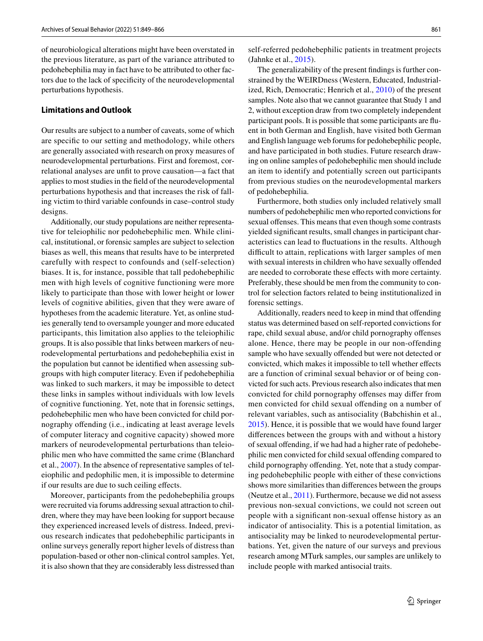of neurobiological alterations might have been overstated in the previous literature, as part of the variance attributed to pedohebephilia may in fact have to be attributed to other factors due to the lack of specifcity of the neurodevelopmental perturbations hypothesis.

### **Limitations and Outlook**

Our results are subject to a number of caveats, some of which are specifc to our setting and methodology, while others are generally associated with research on proxy measures of neurodevelopmental perturbations. First and foremost, correlational analyses are unft to prove causation—a fact that applies to most studies in the feld of the neurodevelopmental perturbations hypothesis and that increases the risk of falling victim to third variable confounds in case–control study designs.

Additionally, our study populations are neither representative for teleiophilic nor pedohebephilic men. While clinical, institutional, or forensic samples are subject to selection biases as well, this means that results have to be interpreted carefully with respect to confounds and (self-selection) biases. It is, for instance, possible that tall pedohebephilic men with high levels of cognitive functioning were more likely to participate than those with lower height or lower levels of cognitive abilities, given that they were aware of hypotheses from the academic literature. Yet, as online studies generally tend to oversample younger and more educated participants, this limitation also applies to the teleiophilic groups. It is also possible that links between markers of neurodevelopmental perturbations and pedohebephilia exist in the population but cannot be identifed when assessing subgroups with high computer literacy. Even if pedohebephilia was linked to such markers, it may be impossible to detect these links in samples without individuals with low levels of cognitive functioning. Yet, note that in forensic settings, pedohebephilic men who have been convicted for child pornography ofending (i.e., indicating at least average levels of computer literacy and cognitive capacity) showed more markers of neurodevelopmental perturbations than teleiophilic men who have committed the same crime (Blanchard et al., [2007\)](#page-15-2). In the absence of representative samples of teleiophilic and pedophilic men, it is impossible to determine if our results are due to such ceiling efects.

Moreover, participants from the pedohebephilia groups were recruited via forums addressing sexual attraction to children, where they may have been looking for support because they experienced increased levels of distress. Indeed, previous research indicates that pedohebephilic participants in online surveys generally report higher levels of distress than population-based or other non-clinical control samples. Yet, it is also shown that they are considerably less distressed than self-referred pedohebephilic patients in treatment projects (Jahnke et al., [2015\)](#page-15-17).

The generalizability of the present fndings is further constrained by the WEIRDness (Western, Educated, Industrialized, Rich, Democratic; Henrich et al., [2010\)](#page-15-27) of the present samples. Note also that we cannot guarantee that Study 1 and 2, without exception draw from two completely independent participant pools. It is possible that some participants are fuent in both German and English, have visited both German and English language web forums for pedohebephilic people, and have participated in both studies. Future research drawing on online samples of pedohebephilic men should include an item to identify and potentially screen out participants from previous studies on the neurodevelopmental markers of pedohebephilia.

Furthermore, both studies only included relatively small numbers of pedohebephilic men who reported convictions for sexual offenses. This means that even though some contrasts yielded signifcant results, small changes in participant characteristics can lead to fuctuations in the results. Although difficult to attain, replications with larger samples of men with sexual interests in children who have sexually offended are needed to corroborate these efects with more certainty. Preferably, these should be men from the community to control for selection factors related to being institutionalized in forensic settings.

Additionally, readers need to keep in mind that ofending status was determined based on self-reported convictions for rape, child sexual abuse, and/or child pornography ofenses alone. Hence, there may be people in our non-offending sample who have sexually offended but were not detected or convicted, which makes it impossible to tell whether efects are a function of criminal sexual behavior or of being convicted for such acts. Previous research also indicates that men convicted for child pornography ofenses may difer from men convicted for child sexual ofending on a number of relevant variables, such as antisociality (Babchishin et al., [2015](#page-14-4)). Hence, it is possible that we would have found larger diferences between the groups with and without a history of sexual offending, if we had had a higher rate of pedohebephilic men convicted for child sexual offending compared to child pornography offending. Yet, note that a study comparing pedohebephilic people with either of these convictions shows more similarities than diferences between the groups (Neutze et al., [2011](#page-16-28)). Furthermore, because we did not assess previous non-sexual convictions, we could not screen out people with a signifcant non-sexual ofense history as an indicator of antisociality. This is a potential limitation, as antisociality may be linked to neurodevelopmental perturbations. Yet, given the nature of our surveys and previous research among MTurk samples, our samples are unlikely to include people with marked antisocial traits.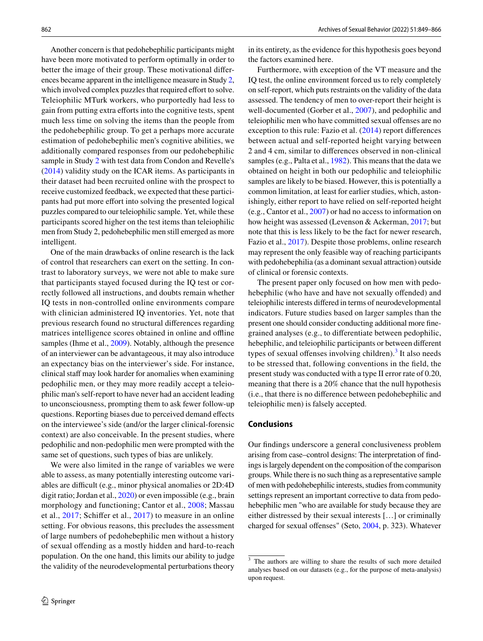Another concern is that pedohebephilic participants might have been more motivated to perform optimally in order to better the image of their group. These motivational diferences became apparent in the intelligence measure in Study [2,](#page-7-0) which involved complex puzzles that required effort to solve. Teleiophilic MTurk workers, who purportedly had less to gain from putting extra eforts into the cognitive tests, spent much less time on solving the items than the people from the pedohebephilic group. To get a perhaps more accurate estimation of pedohebephilic men's cognitive abilities, we additionally compared responses from our pedohebephilic sample in Study [2](#page-7-0) with test data from Condon and Revelle's [\(2014\)](#page-15-25) validity study on the ICAR items. As participants in their dataset had been recruited online with the prospect to receive customized feedback, we expected that these participants had put more effort into solving the presented logical puzzles compared to our teleiophilic sample. Yet, while these participants scored higher on the test items than teleiophilic men from Study 2, pedohebephilic men still emerged as more intelligent.

One of the main drawbacks of online research is the lack of control that researchers can exert on the setting. In contrast to laboratory surveys, we were not able to make sure that participants stayed focused during the IQ test or correctly followed all instructions, and doubts remain whether IQ tests in non-controlled online environments compare with clinician administered IQ inventories. Yet, note that previous research found no structural diferences regarding matrices intelligence scores obtained in online and offline samples (Ihme et al., [2009\)](#page-15-28). Notably, although the presence of an interviewer can be advantageous, it may also introduce an expectancy bias on the interviewer's side. For instance, clinical staff may look harder for anomalies when examining pedophilic men, or they may more readily accept a teleiophilic man's self-report to have never had an accident leading to unconsciousness, prompting them to ask fewer follow-up questions. Reporting biases due to perceived demand efects on the interviewee's side (and/or the larger clinical-forensic context) are also conceivable. In the present studies, where pedophilic and non-pedophilic men were prompted with the same set of questions, such types of bias are unlikely.

We were also limited in the range of variables we were able to assess, as many potentially interesting outcome variables are difficult (e.g., minor physical anomalies or 2D:4D digit ratio; Jordan et al., [2020\)](#page-16-6) or even impossible (e.g., brain morphology and functioning; Cantor et al., [2008](#page-15-0); Massau et al., [2017;](#page-16-16) Schifer et al., [2017](#page-16-7)) to measure in an online setting. For obvious reasons, this precludes the assessment of large numbers of pedohebephilic men without a history of sexual ofending as a mostly hidden and hard-to-reach population. On the one hand, this limits our ability to judge the validity of the neurodevelopmental perturbations theory

in its entirety, as the evidence for this hypothesis goes beyond the factors examined here.

Furthermore, with exception of the VT measure and the IQ test, the online environment forced us to rely completely on self-report, which puts restraints on the validity of the data assessed. The tendency of men to over-report their height is well-documented (Gorber et al., [2007\)](#page-15-29), and pedophilic and teleiophilic men who have committed sexual ofenses are no exception to this rule: Fazio et al. ([2014](#page-15-30)) report differences between actual and self-reported height varying between 2 and 4 cm, similar to diferences observed in non-clinical samples (e.g., Palta et al., [1982\)](#page-16-22). This means that the data we obtained on height in both our pedophilic and teleiophilic samples are likely to be biased. However, this is potentially a common limitation, at least for earlier studies, which, astonishingly, either report to have relied on self-reported height (e.g., Cantor et al., [2007](#page-15-5)) or had no access to information on how height was assessed (Levenson & Ackerman, [2017;](#page-16-29) but note that this is less likely to be the fact for newer research, Fazio et al., [2017](#page-15-8)). Despite those problems, online research may represent the only feasible way of reaching participants with pedohebephilia (as a dominant sexual attraction) outside of clinical or forensic contexts.

The present paper only focused on how men with pedohebephilic (who have and have not sexually offended) and teleiophilic interests difered in terms of neurodevelopmental indicators. Future studies based on larger samples than the present one should consider conducting additional more fnegrained analyses (e.g., to diferentiate between pedophilic, hebephilic, and teleiophilic participants or between diferent types of sexual offenses involving children).<sup>[3](#page-13-0)</sup> It also needs to be stressed that, following conventions in the feld, the present study was conducted with a type II error rate of 0.20, meaning that there is a 20% chance that the null hypothesis (i.e., that there is no diference between pedohebephilic and teleiophilic men) is falsely accepted.

## **Conclusions**

Our fndings underscore a general conclusiveness problem arising from case–control designs: The interpretation of fndings is largely dependent on the composition of the comparison groups. While there is no such thing as a representative sample of men with pedohebephilic interests, studies from community settings represent an important corrective to data from pedohebephilic men "who are available for study because they are either distressed by their sexual interests […] or criminally charged for sexual offenses" (Seto, [2004](#page-16-30), p. 323). Whatever

<span id="page-13-0"></span><sup>&</sup>lt;sup>3</sup> The authors are willing to share the results of such more detailed analyses based on our datasets (e.g., for the purpose of meta-analysis) upon request.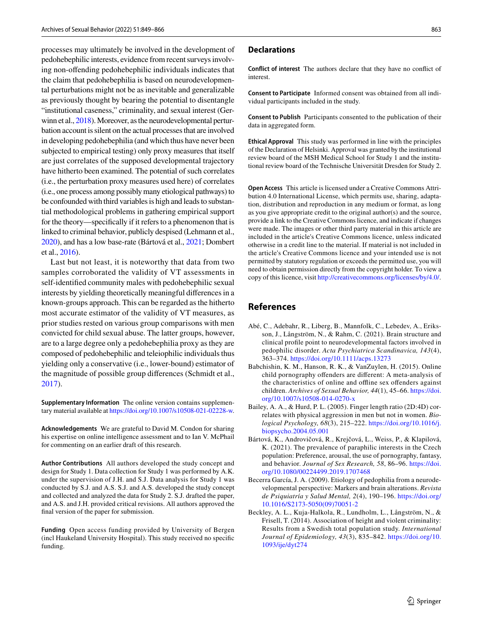processes may ultimately be involved in the development of pedohebephilic interests, evidence from recent surveys involving non-ofending pedohebephilic individuals indicates that the claim that pedohebephilia is based on neurodevelopmental perturbations might not be as inevitable and generalizable as previously thought by bearing the potential to disentangle "institutional caseness," criminality, and sexual interest (Ger-winn et al., [2018\)](#page-15-18). Moreover, as the neurodevelopmental perturbation account is silent on the actual processes that are involved in developing pedohebephilia (and which thus have never been subjected to empirical testing) only proxy measures that itself are just correlates of the supposed developmental trajectory have hitherto been examined. The potential of such correlates (i.e., the perturbation proxy measures used here) of correlates (i.e., one process among possibly many etiological pathways) to be confounded with third variables is high and leads to substantial methodological problems in gathering empirical support for the theory—specifcally if it refers to a phenomenon that is linked to criminal behavior, publicly despised (Lehmann et al., [2020\)](#page-16-31), and has a low base-rate (Bártová et al., [2021](#page-14-5); Dombert et al., [2016](#page-15-16)).

Last but not least, it is noteworthy that data from two samples corroborated the validity of VT assessments in self-identifed community males with pedohebephilic sexual interests by yielding theoretically meaningful diferences in a known-groups approach. This can be regarded as the hitherto most accurate estimator of the validity of VT measures, as prior studies rested on various group comparisons with men convicted for child sexual abuse. The latter groups, however, are to a large degree only a pedohebephilia proxy as they are composed of pedohebephilic and teleiophilic individuals thus yielding only a conservative (i.e., lower-bound) estimator of the magnitude of possible group diferences (Schmidt et al., [2017](#page-16-12)).

**Supplementary Information** The online version contains supplementary material available at<https://doi.org/10.1007/s10508-021-02228-w>.

**Acknowledgements** We are grateful to David M. Condon for sharing his expertise on online intelligence assessment and to Ian V. McPhail for commenting on an earlier draft of this research.

**Author Contributions** All authors developed the study concept and design for Study 1. Data collection for Study 1 was performed by A.K. under the supervision of J.H. and S.J. Data analysis for Study 1 was conducted by S.J. and A.S. S.J. and A.S. developed the study concept and collected and analyzed the data for Study 2. S.J. drafted the paper, and A.S. and J.H. provided critical revisions. All authors approved the fnal version of the paper for submission.

**Funding** Open access funding provided by University of Bergen (incl Haukeland University Hospital). This study received no specifc funding.

#### **Declarations**

**Conflict of interest** The authors declare that they have no confict of interest.

**Consent to Participate** Informed consent was obtained from all individual participants included in the study.

**Consent to Publish** Participants consented to the publication of their data in aggregated form.

**Ethical Approval** This study was performed in line with the principles of the Declaration of Helsinki. Approval was granted by the institutional review board of the MSH Medical School for Study 1 and the institutional review board of the Technische Universität Dresden for Study 2.

**Open Access** This article is licensed under a Creative Commons Attribution 4.0 International License, which permits use, sharing, adaptation, distribution and reproduction in any medium or format, as long as you give appropriate credit to the original author(s) and the source, provide a link to the Creative Commons licence, and indicate if changes were made. The images or other third party material in this article are included in the article's Creative Commons licence, unless indicated otherwise in a credit line to the material. If material is not included in the article's Creative Commons licence and your intended use is not permitted by statutory regulation or exceeds the permitted use, you will need to obtain permission directly from the copyright holder. To view a copy of this licence, visit [http://creativecommons.org/licenses/by/4.0/.](http://creativecommons.org/licenses/by/4.0/)

# **References**

- <span id="page-14-3"></span>Abé, C., Adebahr, R., Liberg, B., Mannfolk, C., Lebedev, A., Eriksson, J., Långström, N., & Rahm, C. (2021). Brain structure and clinical profle point to neurodevelopmental factors involved in pedophilic disorder. *Acta Psychiatrica Scandinavica, 143*(4), 363–374.<https://doi.org/10.1111/acps.13273>
- <span id="page-14-4"></span>Babchishin, K. M., Hanson, R. K., & VanZuylen, H. (2015). Online child pornography ofenders are diferent: A meta-analysis of the characteristics of online and ofine sex ofenders against children. *Archives of Sexual Behavior, 44*(1), 45–66. [https://doi.](https://doi.org/10.1007/s10508-014-0270-x) [org/10.1007/s10508-014-0270-x](https://doi.org/10.1007/s10508-014-0270-x)
- <span id="page-14-2"></span>Bailey, A. A., & Hurd, P. L. (2005). Finger length ratio (2D:4D) correlates with physical aggression in men but not in women. *Biological Psychology, 68*(3), 215–222. [https://doi.org/10.1016/j.](https://doi.org/10.1016/j.biopsycho.2004.05.001) [biopsycho.2004.05.001](https://doi.org/10.1016/j.biopsycho.2004.05.001)
- <span id="page-14-5"></span>Bártová, K., Androvičová, R., Krejčová, L., Weiss, P., & Klapilová, K. (2021). The prevalence of paraphilic interests in the Czech population: Preference, arousal, the use of pornography, fantasy, and behavior. *Journal of Sex Research, 58*, 86–96. [https://doi.](https://doi.org/10.1080/00224499.2019.1707468) [org/10.1080/00224499.2019.1707468](https://doi.org/10.1080/00224499.2019.1707468)
- <span id="page-14-1"></span>Becerra García, J. A. (2009). Etiology of pedophilia from a neurodevelopmental perspective: Markers and brain alterations. *Revista de Psiquiatría y Salud Mental, 2*(4), 190–196. [https://doi.org/](https://doi.org/10.1016/S2173-5050(09)70051-2) [10.1016/S2173-5050\(09\)70051-2](https://doi.org/10.1016/S2173-5050(09)70051-2)
- <span id="page-14-0"></span>Beckley, A. L., Kuja-Halkola, R., Lundholm, L., Långström, N., & Frisell, T. (2014). Association of height and violent criminality: Results from a Swedish total population study. *International Journal of Epidemiology, 43*(3), 835–842. [https://doi.org/10.](https://doi.org/10.1093/ije/dyt274) [1093/ije/dyt274](https://doi.org/10.1093/ije/dyt274)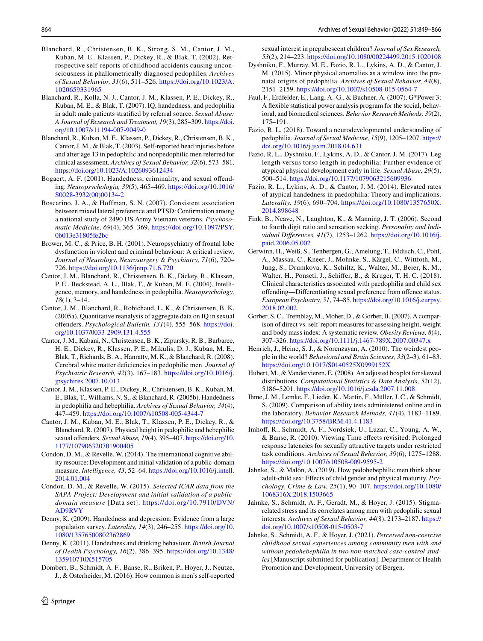- <span id="page-15-1"></span>Blanchard, R., Christensen, B. K., Strong, S. M., Cantor, J. M., Kuban, M. E., Klassen, P., Dickey, R., & Blak, T. (2002). Retrospective self-reports of childhood accidents causing unconsciousness in phallometrically diagnosed pedophiles. *Archives of Sexual Behavior, 31*(6), 511–526. [https://doi.org/10.1023/A:](https://doi.org/10.1023/A:1020659331965) [1020659331965](https://doi.org/10.1023/A:1020659331965)
- <span id="page-15-2"></span>Blanchard, R., Kolla, N. J., Cantor, J. M., Klassen, P. E., Dickey, R., Kuban, M. E., & Blak, T. (2007). IQ, handedness, and pedophilia in adult male patients stratifed by referral source. *Sexual Abuse: A Journal of Research and Treatment, 19*(3), 285–309. [https://doi.](https://doi.org/10.1007/s11194-007-9049-0) [org/10.1007/s11194-007-9049-0](https://doi.org/10.1007/s11194-007-9049-0)
- <span id="page-15-9"></span>Blanchard, R., Kuban, M. E., Klassen, P., Dickey, R., Christensen, B. K., Cantor, J. M., & Blak, T. (2003). Self-reported head injuries before and after age 13 in pedophilic and nonpedophilic men referred for clinical assessment. *Archives of Sexual Behavior, 32*(6), 573–581. <https://doi.org/10.1023/A:1026093612434>
- <span id="page-15-7"></span>Bogaert, A. F. (2001). Handedness, criminality, and sexual ofending. *Neuropsychologia, 39*(5), 465–469. [https://doi.org/10.1016/](https://doi.org/10.1016/S0028-3932(00)00134-2) [S0028-3932\(00\)00134-2](https://doi.org/10.1016/S0028-3932(00)00134-2)
- <span id="page-15-12"></span>Boscarino, J. A., & Hoffman, S. N. (2007). Consistent association between mixed lateral preference and PTSD: Confrmation among a national study of 2490 US Army Vietnam veterans. *Psychosomatic Medicine, 69*(4), 365–369. [https://doi.org/10.1097/PSY.](https://doi.org/10.1097/PSY.0b013e31805fe2bc) [0b013e31805fe2bc](https://doi.org/10.1097/PSY.0b013e31805fe2bc)
- <span id="page-15-14"></span>Brower, M. C., & Price, B. H. (2001). Neuropsychiatry of frontal lobe dysfunction in violent and criminal behaviour: A critical review. *Journal of Neurology, Neurosurgery & Psychiatry, 71*(6), 720– 726.<https://doi.org/10.1136/jnnp.71.6.720>
- <span id="page-15-20"></span>Cantor, J. M., Blanchard, R., Christensen, B. K., Dickey, R., Klassen, P. E., Beckstead, A. L., Blak, T., & Kuban, M. E. (2004). Intelligence, memory, and handedness in pedophilia. *Neuropsychology, 18*(1), 3–14.
- <span id="page-15-3"></span>Cantor, J. M., Blanchard, R., Robichaud, L. K., & Christensen, B. K. (2005a). Quantitative reanalysis of aggregate data on IQ in sexual ofenders. *Psychological Bulletin, 131*(4), 555–568. [https://doi.](https://doi.org/10.1037/0033-2909.131.4.555) [org/10.1037/0033-2909.131.4.555](https://doi.org/10.1037/0033-2909.131.4.555)
- <span id="page-15-0"></span>Cantor, J. M., Kabani, N., Christensen, B. K., Zipursky, R. B., Barbaree, H. E., Dickey, R., Klassen, P. E., Mikulis, D. J., Kuban, M. E., Blak, T., Richards, B. A., Hanratty, M. K., & Blanchard, R. (2008). Cerebral white matter defciencies in pedophilic men. *Journal of Psychiatric Research, 42*(3), 167–183. [https://doi.org/10.1016/j.](https://doi.org/10.1016/j.jpsychires.2007.10.013) [jpsychires.2007.10.013](https://doi.org/10.1016/j.jpsychires.2007.10.013)
- <span id="page-15-4"></span>Cantor, J. M., Klassen, P. E., Dickey, R., Christensen, B. K., Kuban, M. E., Blak, T., Williams, N. S., & Blanchard, R. (2005b). Handedness in pedophilia and hebephilia. *Archives of Sexual Behavior, 34*(4), 447–459.<https://doi.org/10.1007/s10508-005-4344-7>
- <span id="page-15-5"></span>Cantor, J. M., Kuban, M. E., Blak, T., Klassen, P. E., Dickey, R., & Blanchard, R. (2007). Physical height in pedophilic and hebephilic sexual offenders. *Sexual Abuse,* 19(4), 395-407. [https://doi.org/10.](https://doi.org/10.1177/107906320701900405) [1177/107906320701900405](https://doi.org/10.1177/107906320701900405)
- <span id="page-15-25"></span>Condon, D. M., & Revelle, W. (2014). The international cognitive ability resource: Development and initial validation of a public-domain measure. *Intelligence, 43*, 52–64. [https://doi.org/10.1016/j.intell.](https://doi.org/10.1016/j.intell.2014.01.004) [2014.01.004](https://doi.org/10.1016/j.intell.2014.01.004)
- <span id="page-15-26"></span>Condon, D. M., & Revelle, W. (2015). *Selected ICAR data from the SAPA-Project: Development and initial validation of a publicdomain measure* [Data set]. [https://doi.org/10.7910/DVN/](https://doi.org/10.7910/DVN/AD9RVY) [AD9RVY](https://doi.org/10.7910/DVN/AD9RVY)
- <span id="page-15-13"></span>Denny, K. (2009). Handedness and depression: Evidence from a large population survey. *Laterality, 14*(3), 246–255. [https://doi.org/10.](https://doi.org/10.1080/13576500802362869) [1080/13576500802362869](https://doi.org/10.1080/13576500802362869)
- <span id="page-15-11"></span>Denny, K. (2011). Handedness and drinking behaviour. *British Journal of Health Psychology, 16*(2), 386–395. [https://doi.org/10.1348/](https://doi.org/10.1348/135910710X515705) [135910710X515705](https://doi.org/10.1348/135910710X515705)
- <span id="page-15-16"></span>Dombert, B., Schmidt, A. F., Banse, R., Briken, P., Hoyer, J., Neutze, J., & Osterheider, M. (2016). How common is men's self-reported

sexual interest in prepubescent children? *Journal of Sex Research, 53*(2), 214–223.<https://doi.org/10.1080/00224499.2015.1020108>

- <span id="page-15-10"></span>Dyshniku, F., Murray, M. E., Fazio, R. L., Lykins, A. D., & Cantor, J. M. (2015). Minor physical anomalies as a window into the prenatal origins of pedophilia. *Archives of Sexual Behavior, 44*(8), 2151–2159.<https://doi.org/10.1007/s10508-015-0564-7>
- <span id="page-15-24"></span>Faul, F., Erdfelder, E., Lang, A.-G., & Buchner, A. (2007). G\*Power 3: A fexible statistical power analysis program for the social, behavioral, and biomedical sciences. *Behavior Research Methods, 39*(2), 175–191.
- <span id="page-15-6"></span>Fazio, R. L. (2018). Toward a neurodevelopmental understanding of pedophilia. *Journal of Sexual Medicine, 15*(9), 1205–1207. [https://](https://doi.org/10.1016/j.jsxm.2018.04.631) [doi.org/10.1016/j.jsxm.2018.04.631](https://doi.org/10.1016/j.jsxm.2018.04.631)
- <span id="page-15-8"></span>Fazio, R. L., Dyshniku, F., Lykins, A. D., & Cantor, J. M. (2017). Leg length versus torso length in pedophilia: Further evidence of atypical physical development early in life. *Sexual Abuse, 29*(5), 500–514.<https://doi.org/10.1177/1079063215609936>
- <span id="page-15-30"></span>Fazio, R. L., Lykins, A. D., & Cantor, J. M. (2014). Elevated rates of atypical handedness in paedophilia: Theory and implications. *Laterality, 19*(6), 690–704. [https://doi.org/10.1080/1357650X.](https://doi.org/10.1080/1357650X.2014.898648) [2014.898648](https://doi.org/10.1080/1357650X.2014.898648)
- <span id="page-15-15"></span>Fink, B., Neave, N., Laughton, K., & Manning, J. T. (2006). Second to fourth digit ratio and sensation seeking. *Personality and Individual Diferences, 41*(7), 1253–1262. [https://doi.org/10.1016/j.](https://doi.org/10.1016/j.paid.2006.05.002) [paid.2006.05.002](https://doi.org/10.1016/j.paid.2006.05.002)
- <span id="page-15-18"></span>Gerwinn, H., Weiß, S., Tenbergen, G., Amelung, T., Födisch, C., Pohl, A., Massau, C., Kneer, J., Mohnke, S., Kärgel, C., Wittfoth, M., Jung, S., Drumkova, K., Schiltz, K., Walter, M., Beier, K. M., Walter, H., Ponseti, J., Schifer, B., & Kruger, T. H. C. (2018). Clinical characteristics associated with paedophilia and child sex ofending—Diferentiating sexual preference from ofence status. *European Psychiatry, 51*, 74–85. [https://doi.org/10.1016/j.eurpsy.](https://doi.org/10.1016/j.eurpsy.2018.02.002) [2018.02.002](https://doi.org/10.1016/j.eurpsy.2018.02.002)
- <span id="page-15-29"></span>Gorber, S. C., Tremblay, M., Moher, D., & Gorber, B. (2007). A comparison of direct vs. self-report measures for assessing height, weight and body mass index: A systematic review. *Obesity Reviews, 8*(4), 307–326.<https://doi.org/10.1111/j.1467-789X.2007.00347.x>
- <span id="page-15-27"></span>Henrich, J., Heine, S. J., & Norenzayan, A. (2010). The weirdest people in the world? *Behavioral and Brain Sciences, 33*(2–3), 61–83. <https://doi.org/10.1017/S0140525X0999152X>
- <span id="page-15-23"></span>Hubert, M., & Vandervieren, E. (2008). An adjusted boxplot for skewed distributions. *Computational Statistics & Data Analysis, 52*(12), 5186–5201.<https://doi.org/10.1016/j.csda.2007.11.008>
- <span id="page-15-28"></span>Ihme, J. M., Lemke, F., Lieder, K., Martin, F., Müller, J. C., & Schmidt, S. (2009). Comparison of ability tests administered online and in the laboratory. *Behavior Research Methods, 41*(4), 1183–1189. <https://doi.org/10.3758/BRM.41.4.1183>
- <span id="page-15-21"></span>Imhof, R., Schmidt, A. F., Nordsiek, U., Luzar, C., Young, A. W., & Banse, R. (2010). Viewing Time efects revisited: Prolonged response latencies for sexually attractive targets under restricted task conditions. *Archives of Sexual Behavior, 39*(6), 1275–1288. <https://doi.org/10.1007/s10508-009-9595-2>
- <span id="page-15-22"></span>Jahnke, S., & Malón, A. (2019). How pedohebephilic men think about adult-child sex: Efects of child gender and physical maturity. *Psychology, Crime & Law, 25*(1), 90–107. [https://doi.org/10.1080/](https://doi.org/10.1080/1068316X.2018.1503665) [1068316X.2018.1503665](https://doi.org/10.1080/1068316X.2018.1503665)
- <span id="page-15-17"></span>Jahnke, S., Schmidt, A. F., Geradt, M., & Hoyer, J. (2015). Stigmarelated stress and its correlates among men with pedophilic sexual interests. *Archives of Sexual Behavior, 44*(8), 2173–2187. [https://](https://doi.org/10.1007/s10508-015-0503-7) [doi.org/10.1007/s10508-015-0503-7](https://doi.org/10.1007/s10508-015-0503-7)
- <span id="page-15-19"></span>Jahnke, S., Schmidt, A. F., & Hoyer, J. (2021). *Perceived non-coercive childhood sexual experiences among community men with and without pedohebephilia in two non-matched case-control studies* [Manuscript submitted for publication]. Department of Health Promotion and Development, University of Bergen.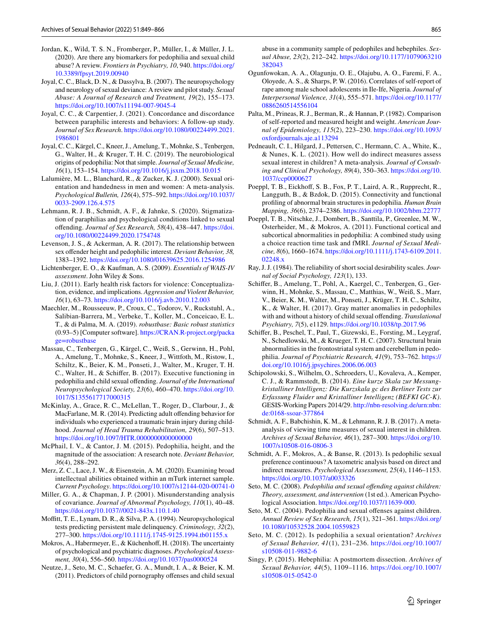- <span id="page-16-6"></span>Jordan, K., Wild, T. S. N., Fromberger, P., Müller, I., & Müller, J. L. (2020). Are there any biomarkers for pedophilia and sexual child abuse? A review. *Frontiers in Psychiatry, 10*, 940. [https://doi.org/](https://doi.org/10.3389/fpsyt.2019.00940) [10.3389/fpsyt.2019.00940](https://doi.org/10.3389/fpsyt.2019.00940)
- <span id="page-16-5"></span>Joyal, C. C., Black, D. N., & Dassylva, B. (2007). The neuropsychology and neurology of sexual deviance: A review and pilot study. *Sexual Abuse: A Journal of Research and Treatment, 19*(2), 155–173. <https://doi.org/10.1007/s11194-007-9045-4>
- <span id="page-16-14"></span>Joyal, C. C., & Carpentier, J. (2021). Concordance and discordance between paraphilic interests and behaviors: A follow-up study. *Journal of Sex Research*. [https://doi.org/10.1080/00224499.2021.](https://doi.org/10.1080/00224499.2021.1986801) [1986801](https://doi.org/10.1080/00224499.2021.1986801)
- <span id="page-16-4"></span>Joyal, C. C., Kärgel, C., Kneer, J., Amelung, T., Mohnke, S., Tenbergen, G., Walter, H., & Kruger, T. H. C. (2019). The neurobiological origins of pedophilia: Not that simple. *Journal of Sexual Medicine, 16*(1), 153–154.<https://doi.org/10.1016/j.jsxm.2018.10.015>
- <span id="page-16-9"></span>Lalumière, M. L., Blanchard, R., & Zucker, K. J. (2000). Sexual orientation and handedness in men and women: A meta-analysis. *Psychological Bulletin, 126*(4), 575–592. [https://doi.org/10.1037/](https://doi.org/10.1037/0033-2909.126.4.575) [0033-2909.126.4.575](https://doi.org/10.1037/0033-2909.126.4.575)
- <span id="page-16-31"></span>Lehmann, R. J. B., Schmidt, A. F., & Jahnke, S. (2020). Stigmatization of paraphilias and psychological conditions linked to sexual ofending. *Journal of Sex Research, 58*(4), 438–447. [https://doi.](https://doi.org/10.1080/00224499.2020.1754748) [org/10.1080/00224499.2020.1754748](https://doi.org/10.1080/00224499.2020.1754748)
- <span id="page-16-29"></span>Levenson, J. S., & Ackerman, A. R. (2017). The relationship between sex ofender height and pedophilic interest. *Deviant Behavior, 38,* 1383–1392. <https://doi.org/10.1080/01639625.2016.1254986>
- <span id="page-16-20"></span>Lichtenberger, E. O., & Kaufman, A. S. (2009). *Essentials of WAIS-IV assessment*. John Wiley & Sons.
- <span id="page-16-3"></span>Liu, J. (2011). Early health risk factors for violence: Conceptualization, evidence, and implications. *Aggression and Violent Behavior, 16*(1), 63–73.<https://doi.org/10.1016/j.avb.2010.12.003>
- <span id="page-16-24"></span>Maechler, M., Rousseeuw, P., Croux, C., Todorov, V., Ruckstuhl, A., Salibian-Barrera, M., Verbeke, T., Koller, M., Conceicao, E. L. T., & di Palma, M. A. (2019). *robustbase: Basic robust statistics* (0.93–5) [Computer software]. [https://CRAN.R-project.org/packa](https://CRAN.R-project.org/package=robustbase) [ge=robustbase](https://CRAN.R-project.org/package=robustbase)
- <span id="page-16-16"></span>Massau, C., Tenbergen, G., Kärgel, C., Weiß, S., Gerwinn, H., Pohl, A., Amelung, T., Mohnke, S., Kneer, J., Wittfoth, M., Ristow, I., Schiltz, K., Beier, K. M., Ponseti, J., Walter, M., Kruger, T. H. C., Walter, H., & Schifer, B. (2017). Executive functioning in pedophilia and child sexual offending. *Journal of the International Neuropsychological Society, 23*(6), 460–470. [https://doi.org/10.](https://doi.org/10.1017/S1355617717000315) [1017/S1355617717000315](https://doi.org/10.1017/S1355617717000315)
- <span id="page-16-27"></span>McKinlay, A., Grace, R. C., McLellan, T., Roger, D., Clarbour, J., & MacFarlane, M. R. (2014). Predicting adult offending behavior for individuals who experienced a traumatic brain injury during childhood. *Journal of Head Trauma Rehabilitation, 29*(6), 507–513. <https://doi.org/10.1097/HTR.0000000000000000>
- <span id="page-16-21"></span>McPhail, I. V., & Cantor, J. M. (2015). Pedophilia, height, and the magnitude of the association: A research note. *Deviant Behavior, 36*(4), 288–292.
- <span id="page-16-25"></span>Merz, Z. C., Lace, J. W., & Eisenstein, A. M. (2020). Examining broad intellectual abilities obtained within an mTurk internet sample. *Current Psychology*.<https://doi.org/10.1007/s12144-020-00741-0>
- <span id="page-16-26"></span>Miller, G. A., & Chapman, J. P. (2001). Misunderstanding analysis of covariance. *Journal of Abnormal Psychology, 110*(1), 40–48. <https://doi.org/10.1037//0021-843x.110.1.40>
- <span id="page-16-10"></span>Moffitt, T. E., Lynam, D. R., & Silva, P. A. (1994). Neuropsychological tests predicting persistent male delinquency. *Criminology, 32*(2), 277–300.<https://doi.org/10.1111/j.1745-9125.1994.tb01155.x>
- <span id="page-16-18"></span>Mokros, A., Habermeyer, E., & Küchenhoff, H. (2018). The uncertainty of psychological and psychiatric diagnoses. *Psychological Assessment, 30*(4), 556–560.<https://doi.org/10.1037/pas0000524>
- <span id="page-16-28"></span>Neutze, J., Seto, M. C., Schaefer, G. A., Mundt, I. A., & Beier, K. M. (2011). Predictors of child pornography ofenses and child sexual

abuse in a community sample of pedophiles and hebephiles. *Sexual Abuse, 23*(2), 212–242. [https://doi.org/10.1177/1079063210](https://doi.org/10.1177/1079063210382043) [382043](https://doi.org/10.1177/1079063210382043)

- <span id="page-16-11"></span>Ogunfowokan, A. A., Olagunju, O. E., Olajubu, A. O., Faremi, F. A., Oloyede, A. S., & Sharps, P. W. (2016). Correlates of self-report of rape among male school adolescents in Ile-Ife, Nigeria. *Journal of Interpersonal Violence, 31*(4), 555–571. [https://doi.org/10.1177/](https://doi.org/10.1177/0886260514556104) [0886260514556104](https://doi.org/10.1177/0886260514556104)
- Palta, M., Prineas, R. J., Berman, R., & Hannan, P. (1982). Comparison of self-reported and measured height and weight. *American Journal of Epidemiology, 115*(2), 223–230. [https://doi.org/10.1093/](https://doi.org/10.1093/oxfordjournals.aje.a113294) [oxfordjournals.aje.a113294](https://doi.org/10.1093/oxfordjournals.aje.a113294)
- <span id="page-16-22"></span>Pedneault, C. I., Hilgard, J., Pettersen, C., Hermann, C. A., White, K., & Nunes, K. L. (2021). How well do indirect measures assess sexual interest in children? A meta-analysis. *Journal of Consulting and Clinical Psychology, 89*(4), 350–363. [https://doi.org/10.](https://doi.org/10.1037/ccp0000627) [1037/ccp0000627](https://doi.org/10.1037/ccp0000627)
- <span id="page-16-2"></span>Poeppl, T. B., Eickhoff, S. B., Fox, P. T., Laird, A. R., Rupprecht, R., Langguth, B., & Bzdok, D. (2015). Connectivity and functional profling of abnormal brain structures in pedophilia. *Human Brain Mapping, 36*(6), 2374–2386. <https://doi.org/10.1002/hbm.22777>
- <span id="page-16-1"></span>Poeppl, T. B., Nitschke, J., Dombert, B., Santtila, P., Greenlee, M. W., Osterheider, M., & Mokros, A. (2011). Functional cortical and subcortical abnormalities in pedophilia: A combined study using a choice reaction time task and fMRI. *Journal of Sexual Medicine, 8*(6), 1660–1674. [https://doi.org/10.1111/j.1743-6109.2011.](https://doi.org/10.1111/j.1743-6109.2011.02248.x) [02248.x](https://doi.org/10.1111/j.1743-6109.2011.02248.x)
- <span id="page-16-23"></span>Ray, J. J. (1984). The reliability of short social desirability scales. *Journal of Social Psychology, 123*(1), 133.
- <span id="page-16-15"></span>Schifer, B., Amelung, T., Pohl, A., Kaergel, C., Tenbergen, G., Gerwinn, H., Mohnke, S., Massau, C., Matthias, W., Weiß, S., Marr, V., Beier, K. M., Walter, M., Ponseti, J., Krüger, T. H. C., Schiltz, K., & Walter, H. (2017). Gray matter anomalies in pedophiles with and without a history of child sexual ofending. *Translational Psychiatry, 7*(5), e1129.<https://doi.org/10.1038/tp.2017.96>
- <span id="page-16-7"></span>Schifer, B., Peschel, T., Paul, T., Gizewski, E., Forsting, M., Leygraf, N., Schedlowski, M., & Krueger, T. H. C. (2007). Structural brain abnormalities in the frontostriatal system and cerebellum in pedophilia. *Journal of Psychiatric Research, 41*(9), 753–762. [https://](https://doi.org/10.1016/j.jpsychires.2006.06.003) [doi.org/10.1016/j.jpsychires.2006.06.003](https://doi.org/10.1016/j.jpsychires.2006.06.003)
- <span id="page-16-19"></span>Schipolowski, S., Wilhelm, O., Schroeders, U., Kovaleva, A., Kemper, C. J., & Rammstedt, B. (2014). *Eine kurze Skala zur Messungkristalliner Intelligenz: Die Kurzskala gc des Berliner Tests zur Erfassung Fluider und Kristalliner Intelligenz (BEFKI GC-K)*. GESIS-Working Papers 2014/29. [http://nbn-resolving.de/urn:nbn:](http://nbn-resolving.de/urn:nbn:de:0168-ssoar-377864) [de:0168-ssoar-377864](http://nbn-resolving.de/urn:nbn:de:0168-ssoar-377864)
- <span id="page-16-17"></span>Schmidt, A. F., Babchishin, K. M., & Lehmann, R. J. B. (2017). A metaanalysis of viewing time measures of sexual interest in children. *Archives of Sexual Behavior, 46*(1), 287–300. [https://doi.org/10.](https://doi.org/10.1007/s10508-016-0806-3) [1007/s10508-016-0806-3](https://doi.org/10.1007/s10508-016-0806-3)
- <span id="page-16-12"></span>Schmidt, A. F., Mokros, A., & Banse, R. (2013). Is pedophilic sexual preference continuous? A taxometric analysis based on direct and indirect measures. *Psychological Assessment, 25*(4), 1146–1153. <https://doi.org/10.1037/a0033326>
- <span id="page-16-13"></span>Seto, M. C. (2008). *Pedophilia and sexual ofending against children: Theory, assessment, and intervention* (1st ed.). American Psychological Association.<https://doi.org/10.1037/11639-000>.
- <span id="page-16-30"></span>Seto, M. C. (2004). Pedophilia and sexual offenses against children. *Annual Review of Sex Research, 15*(1), 321–361. [https://doi.org/](https://doi.org/10.1080/10532528.2004.10559823) [10.1080/10532528.2004.10559823](https://doi.org/10.1080/10532528.2004.10559823)
- <span id="page-16-0"></span>Seto, M. C. (2012). Is pedophilia a sexual orientation? *Archives of Sexual Behavior, 41*(1), 231–236. [https://doi.org/10.1007/](https://doi.org/10.1007/s10508-011-9882-6) [s10508-011-9882-6](https://doi.org/10.1007/s10508-011-9882-6)
- <span id="page-16-8"></span>Singy, P. (2015). Hebephilia: A postmortem dissection. *Archives of Sexual Behavior, 44*(5), 1109–1116. [https://doi.org/10.1007/](https://doi.org/10.1007/s10508-015-0542-0) [s10508-015-0542-0](https://doi.org/10.1007/s10508-015-0542-0)